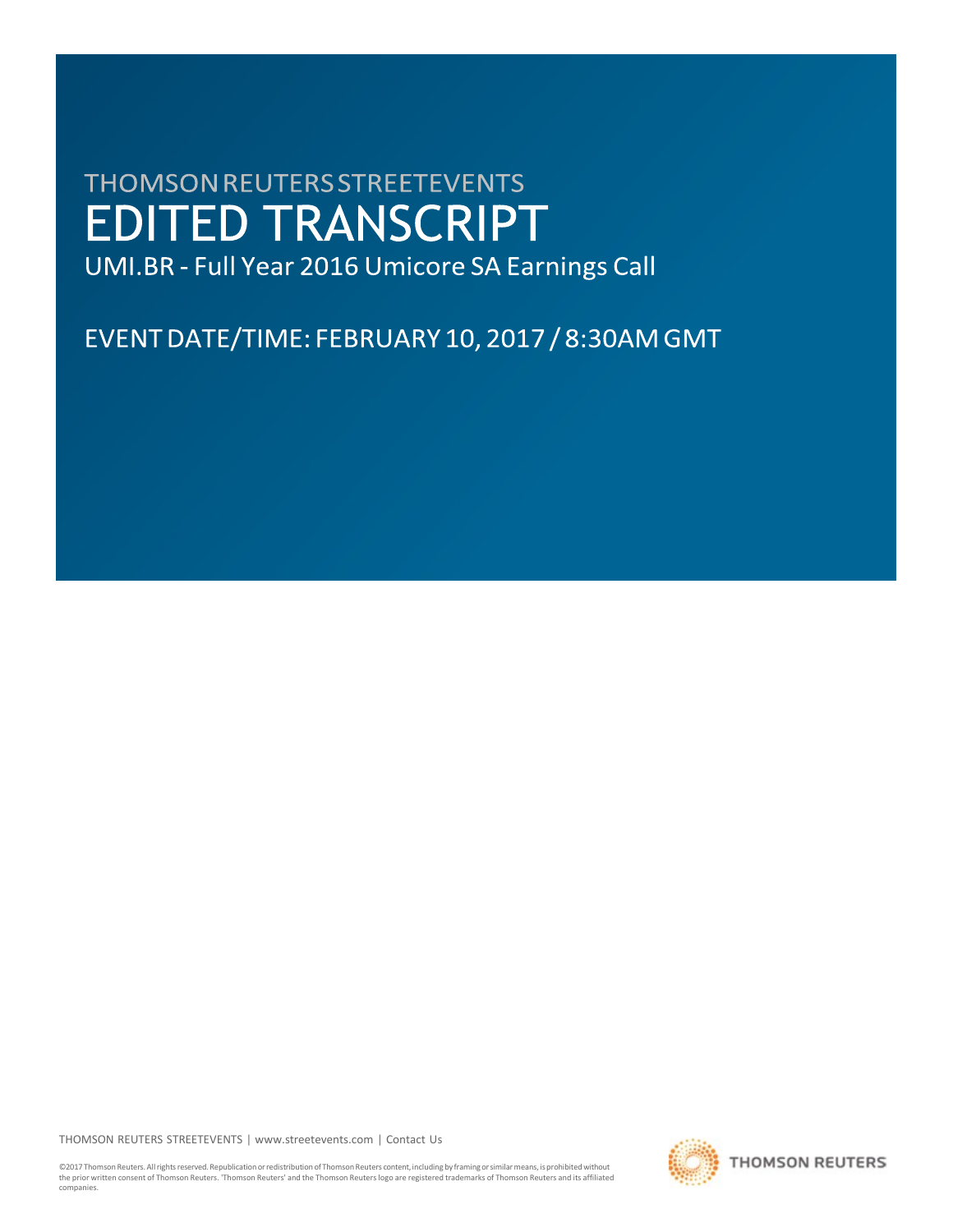# **THOMSON REUTERS STREETEVENTS EDITED TRANSCRIPT**

UMI.BR - Full Year 2016 Umicore SA Earnings Call

EVENT DATE/TIME: FEBRUARY 10, 2017 / 8:30AM GMT

THOMSON REUTERS STREETEVENTS | [www.streetevents.com](http://www.streetevents.com/) | [Contact](http://www010.streetevents.com/contact.asp) Us

©2017 Thomson Reuters. All rights reserved. Republication or redistribution of Thomson Reuters content, including by framing or similar means, is prohibited without the prior written consent of Thomson Reuters. 'Thomson Reuters' and the Thomson Reuters logo are registered trademarks of Thomson Reuters and its affiliated companies.

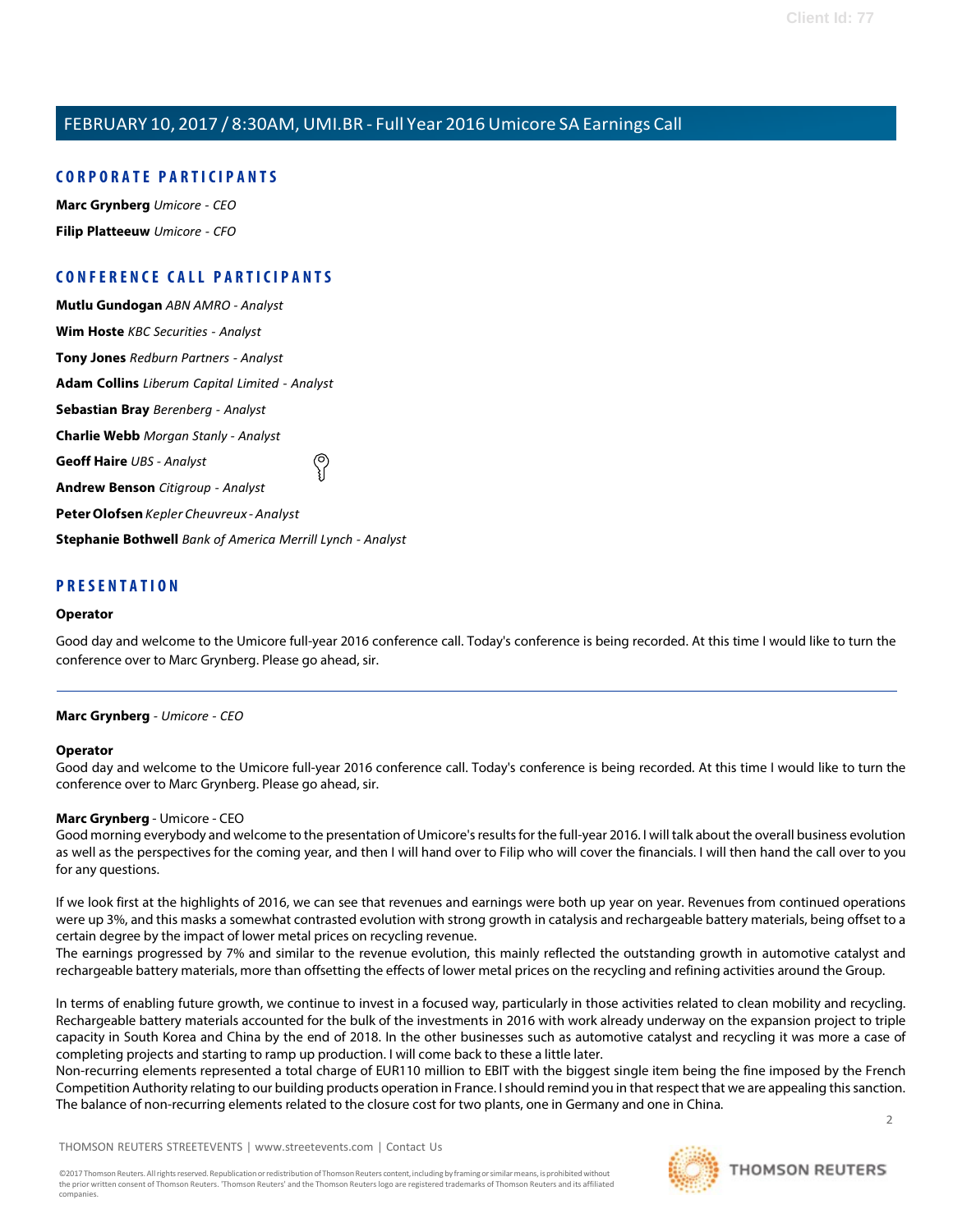# **C O R P O R A TE P A R TICI P A N TS**

**Marc [Grynberg](#page-1-0)** *Umicore - CEO* **Filip [Platteeuw](#page-3-0)** *Umicore - CFO*

# **C O N FE R E N CE C A LL P A R TICI P A N TS**

**Mutlu [Gundogan](#page-5-0)** *ABN AMRO - Analyst* **Wim [Hoste](#page-5-1)** *KBC Securities - Analyst* **Tony [Jones](#page-6-0)** *Redburn Partners - Analyst* **Adam [Collins](#page-6-1)** *Liberum Capital Limited - Analyst* **[Sebastian](#page-8-0) Bray** *Berenberg - Analyst* **[Charlie](#page-9-0) Webb** *Morgan Stanly - Analyst* **[Geoff](#page-10-0) Haire** *UBS - Analyst* **[Andrew](#page-11-0) Benson** *Citigroup - Analyst* **[PeterOlofsen](#page-13-0)***Kepler Cheuvreux - Analyst* **[Stephanie](#page-13-1) Bothwell** *Bank of America Merrill Lynch - Analyst*

# **P R ESE N T A TI O N**

## **Operator**

<span id="page-1-0"></span>Good day and welcome to the Umicore full-year 2016 conference call. Today's conference is being recorded. At this time I would like to turn the conference over to Marc Grynberg. Please go ahead, sir.

# **Marc Grynberg** *- Umicore - CEO*

#### **Operator**

Good day and welcome to the Umicore full-year 2016 conference call. Today's conference is being recorded. At this time I would like to turn the conference over to Marc Grynberg. Please go ahead, sir.

# **Marc Grynberg** - Umicore - CEO

Good morning everybody and welcome to the presentation of Umicore's results for the full-year 2016. I will talk about the overall business evolution as well as the perspectives for the coming year, and then I will hand over to Filip who will cover the financials. I will then hand the call over to you for any questions.

If we look first at the highlights of 2016, we can see that revenues and earnings were both up year on year. Revenues from continued operations were up 3%, and this masks a somewhat contrasted evolution with strong growth in catalysis and rechargeable battery materials, being offset to a certain degree by the impact of lower metal prices on recycling revenue.

The earnings progressed by 7% and similar to the revenue evolution, this mainly reflected the outstanding growth in automotive catalyst and rechargeable battery materials, more than offsetting the effects of lower metal prices on the recycling and refining activities around the Group.

In terms of enabling future growth, we continue to invest in a focused way, particularly in those activities related to clean mobility and recycling. Rechargeable battery materials accounted for the bulk of the investments in 2016 with work already underway on the expansion project to triple capacity in South Korea and China by the end of 2018. In the other businesses such as automotive catalyst and recycling it was more a case of completing projects and starting to ramp up production. I will come back to these a little later.

2 Non-recurring elements represented a total charge of EUR110 million to EBIT with the biggest single item being the fine imposed by the French Competition Authority relating to our building products operation in France. I should remind you in that respect that we are appealing this sanction. The balance of non-recurring elements related to the closure cost for two plants, one in Germany and one in China.

THOMSON REUTERS STREETEVENTS | [www.streetevents.com](http://www.streetevents.com/) | [Contact](http://www010.streetevents.com/contact.asp) Us



**THOMSON REUTERS**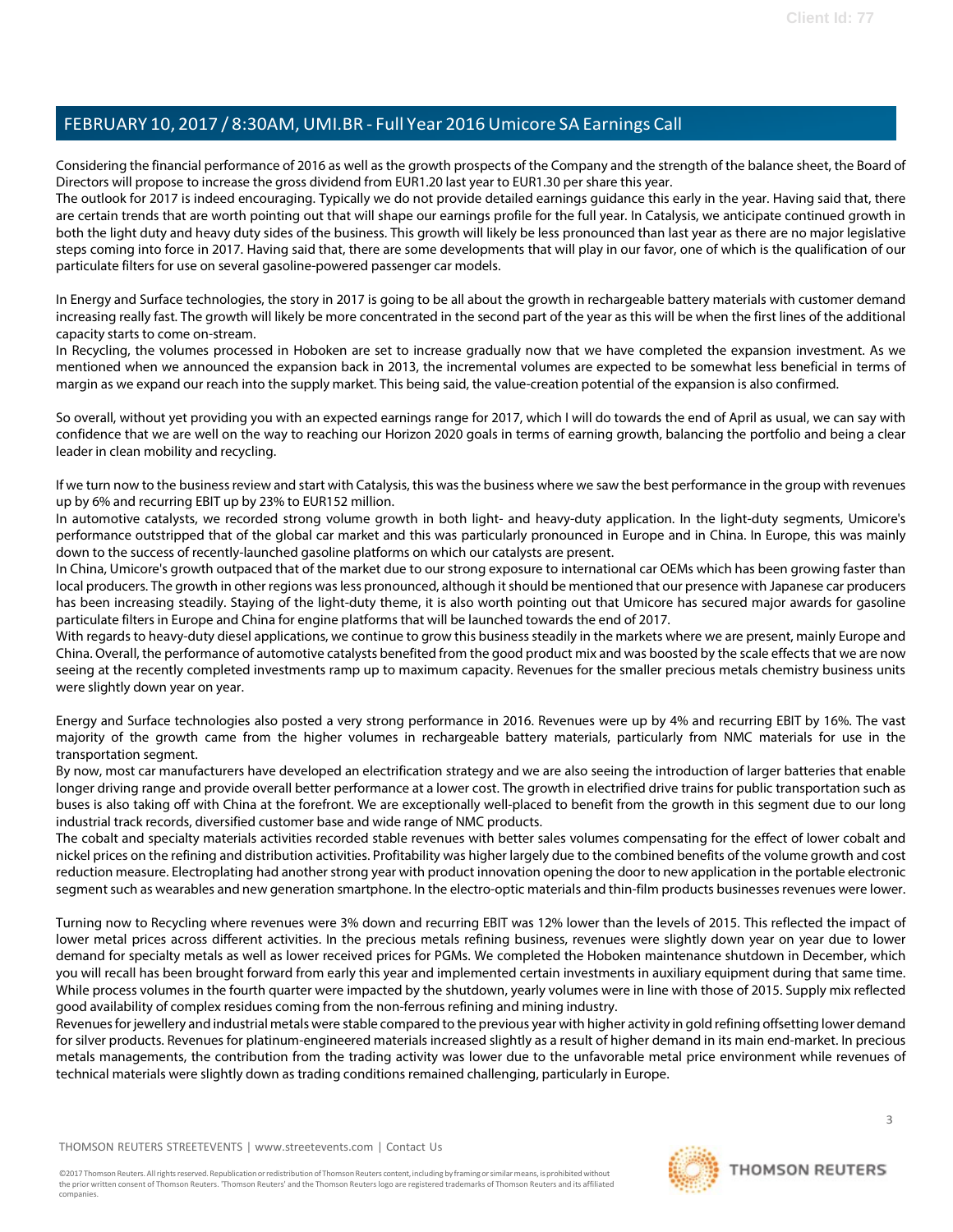Considering the financial performance of 2016 as well as the growth prospects of the Company and the strength of the balance sheet, the Board of Directors will propose to increase the gross dividend from EUR1.20 last year to EUR1.30 per share this year.

The outlook for 2017 is indeed encouraging. Typically we do not provide detailed earnings guidance this early in the year. Having said that, there are certain trends that are worth pointing out that will shape our earnings profile for the full year. In Catalysis, we anticipate continued growth in both the light duty and heavy duty sides of the business. This growth will likely be less pronounced than last year as there are no major legislative steps coming into force in 2017. Having said that, there are some developments that will play in our favor, one of which is the qualification of our particulate filters for use on several gasoline-powered passenger car models.

In Energy and Surface technologies, the story in 2017 is going to be all about the growth in rechargeable battery materials with customer demand increasing really fast. The growth will likely be more concentrated in the second part of the year as this will be when the first lines of the additional capacity starts to come on-stream.

In Recycling, the volumes processed in Hoboken are set to increase gradually now that we have completed the expansion investment. As we mentioned when we announced the expansion back in 2013, the incremental volumes are expected to be somewhat less beneficial in terms of margin as we expand our reach into the supply market. This being said, the value-creation potential of the expansion is also confirmed.

So overall, without yet providing you with an expected earnings range for 2017, which I will do towards the end of April as usual, we can say with confidence that we are well on the way to reaching our Horizon 2020 goals in terms of earning growth, balancing the portfolio and being a clear leader in clean mobility and recycling.

If we turn now to the business review and start with Catalysis, this was the business where we saw the best performance in the group with revenues up by 6% and recurring EBIT up by 23% to EUR152 million.

In automotive catalysts, we recorded strong volume growth in both light- and heavy-duty application. In the light-duty segments, Umicore's performance outstripped that of the global car market and this was particularly pronounced in Europe and in China. In Europe, this was mainly down to the success of recently-launched gasoline platforms on which our catalysts are present.

In China, Umicore's growth outpaced that of the market due to our strong exposure to international car OEMs which has been growing faster than local producers. The growth in other regions was less pronounced, although it should be mentioned that our presence with Japanese car producers has been increasing steadily. Staying of the light-duty theme, it is also worth pointing out that Umicore has secured major awards for gasoline particulate filters in Europe and China for engine platforms that will be launched towards the end of 2017.

With regards to heavy-duty diesel applications, we continue to grow this business steadily in the markets where we are present, mainly Europe and China. Overall, the performance of automotive catalysts benefited from the good product mix and was boosted by the scale effects that we are now seeing at the recently completed investments ramp up to maximum capacity. Revenues for the smaller precious metals chemistry business units were slightly down year on year.

Energy and Surface technologies also posted a very strong performance in 2016. Revenues were up by 4% and recurring EBIT by 16%. The vast majority of the growth came from the higher volumes in rechargeable battery materials, particularly from NMC materials for use in the transportation segment.

By now, most car manufacturers have developed an electrification strategy and we are also seeing the introduction of larger batteries that enable longer driving range and provide overall better performance at a lower cost. The growth in electrified drive trains for public transportation such as buses is also taking off with China at the forefront. We are exceptionally well-placed to benefit from the growth in this segment due to our long industrial track records, diversified customer base and wide range of NMC products.

The cobalt and specialty materials activities recorded stable revenues with better sales volumes compensating for the effect of lower cobalt and nickel prices on the refining and distribution activities. Profitability was higher largely due to the combined benefits of the volume growth and cost reduction measure. Electroplating had another strong year with product innovation opening the door to new application in the portable electronic segment such as wearables and new generation smartphone. In the electro-optic materials and thin-film products businesses revenues were lower.

Turning now to Recycling where revenues were 3% down and recurring EBIT was 12% lower than the levels of 2015. This reflected the impact of lower metal prices across different activities. In the precious metals refining business, revenues were slightly down year on year due to lower demand for specialty metals as well as lower received prices for PGMs. We completed the Hoboken maintenance shutdown in December, which you will recall has been brought forward from early this year and implemented certain investments in auxiliary equipment during that same time. While process volumes in the fourth quarter were impacted by the shutdown, yearly volumes were in line with those of 2015. Supply mix reflected good availability of complex residues coming from the non-ferrous refining and mining industry.

Revenues for jewellery and industrial metals were stable compared to the previous year with higher activity in gold refining offsetting lower demand for silver products. Revenues for platinum-engineered materials increased slightly as a result of higher demand in its main end-market. In precious metals managements, the contribution from the trading activity was lower due to the unfavorable metal price environment while revenues of technical materials were slightly down as trading conditions remained challenging, particularly in Europe.

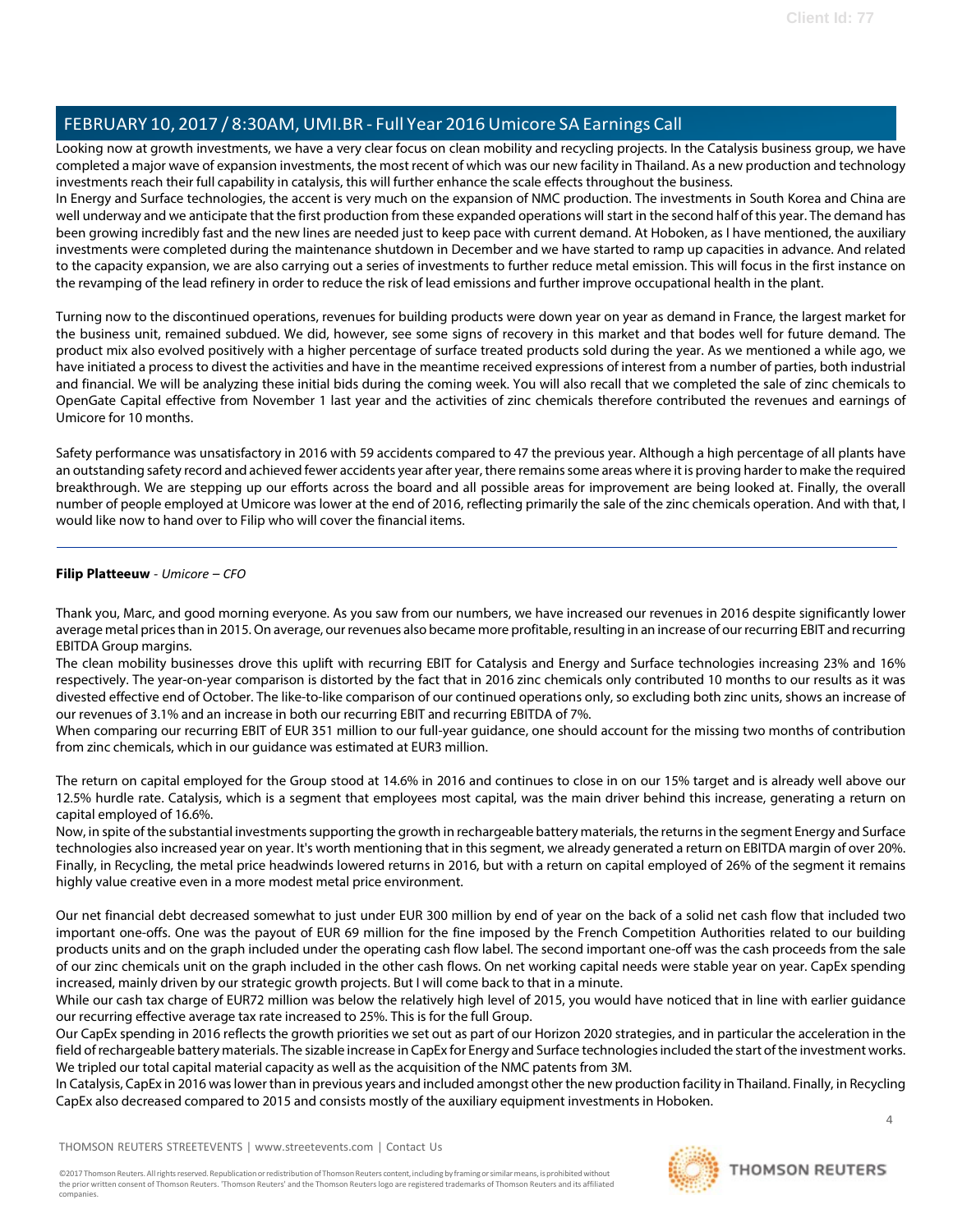Looking now at growth investments, we have a very clear focus on clean mobility and recycling projects. In the Catalysis business group, we have completed a major wave of expansion investments, the most recent of which was our new facility in Thailand. As a new production and technology investments reach their full capability in catalysis, this will further enhance the scale effects throughout the business.

In Energy and Surface technologies, the accent is very much on the expansion of NMC production. The investments in South Korea and China are well underway and we anticipate that the first production from these expanded operations will start in the second half of this year. The demand has been growing incredibly fast and the new lines are needed just to keep pace with current demand. At Hoboken, as I have mentioned, the auxiliary investments were completed during the maintenance shutdown in December and we have started to ramp up capacities in advance. And related to the capacity expansion, we are also carrying out a series of investments to further reduce metal emission. This will focus in the first instance on the revamping of the lead refinery in order to reduce the risk of lead emissions and further improve occupational health in the plant.

Turning now to the discontinued operations, revenues for building products were down year on year as demand in France, the largest market for the business unit, remained subdued. We did, however, see some signs of recovery in this market and that bodes well for future demand. The product mix also evolved positively with a higher percentage of surface treated products sold during the year. As we mentioned a while ago, we have initiated a process to divest the activities and have in the meantime received expressions of interest from a number of parties, both industrial and financial. We will be analyzing these initial bids during the coming week. You will also recall that we completed the sale of zinc chemicals to OpenGate Capital effective from November 1 last year and the activities of zinc chemicals therefore contributed the revenues and earnings of Umicore for 10 months.

Safety performance was unsatisfactory in 2016 with 59 accidents compared to 47 the previous year. Although a high percentage of all plants have an outstanding safety record and achieved fewer accidents year after year, there remains some areas where it is proving harder to make the required breakthrough. We are stepping up our efforts across the board and all possible areas for improvement are being looked at. Finally, the overall number of people employed at Umicore was lower at the end of 2016, reflecting primarily the sale of the zinc chemicals operation. And with that, I would like now to hand over to Filip who will cover the financial items.

# <span id="page-3-0"></span>**Filip Platteeuw** *- Umicore – CFO*

Thank you, Marc, and good morning everyone. As you saw from our numbers, we have increased our revenues in 2016 despite significantly lower average metal prices than in 2015. On average, our revenues also became more profitable, resulting in an increase of our recurring EBIT and recurring EBITDA Group margins.

The clean mobility businesses drove this uplift with recurring EBIT for Catalysis and Energy and Surface technologies increasing 23% and 16% respectively. The year-on-year comparison is distorted by the fact that in 2016 zinc chemicals only contributed 10 months to our results as it was divested effective end of October. The like-to-like comparison of our continued operations only, so excluding both zinc units, shows an increase of our revenues of 3.1% and an increase in both our recurring EBIT and recurring EBITDA of 7%.

When comparing our recurring EBIT of EUR 351 million to our full-year guidance, one should account for the missing two months of contribution from zinc chemicals, which in our guidance was estimated at EUR3 million.

The return on capital employed for the Group stood at 14.6% in 2016 and continues to close in on our 15% target and is already well above our 12.5% hurdle rate. Catalysis, which is a segment that employees most capital, was the main driver behind this increase, generating a return on capital employed of 16.6%.

Now, in spite of the substantial investments supporting the growth in rechargeable battery materials, the returns in the segment Energy and Surface technologies also increased year on year. It's worth mentioning that in this segment, we already generated a return on EBITDA margin of over 20%. Finally, in Recycling, the metal price headwinds lowered returns in 2016, but with a return on capital employed of 26% of the segment it remains highly value creative even in a more modest metal price environment.

Our net financial debt decreased somewhat to just under EUR 300 million by end of year on the back of a solid net cash flow that included two important one-offs. One was the payout of EUR 69 million for the fine imposed by the French Competition Authorities related to our building products units and on the graph included under the operating cash flow label. The second important one-off was the cash proceeds from the sale of our zinc chemicals unit on the graph included in the other cash flows. On net working capital needs were stable year on year. CapEx spending increased, mainly driven by our strategic growth projects. But I will come back to that in a minute.

While our cash tax charge of EUR72 million was below the relatively high level of 2015, you would have noticed that in line with earlier guidance our recurring effective average tax rate increased to 25%. This is for the full Group.

Our CapEx spending in 2016 reflects the growth priorities we set out as part of our Horizon 2020 strategies, and in particular the acceleration in the field of rechargeable battery materials. The sizable increase in CapEx for Energy and Surface technologies included the start of the investment works. We tripled our total capital material capacity as well as the acquisition of the NMC patents from 3M.

In Catalysis, CapEx in 2016 was lower than in previous years and included amongst other the new production facility in Thailand. Finally, in Recycling CapEx also decreased compared to 2015 and consists mostly of the auxiliary equipment investments in Hoboken.

THOMSON REUTERS STREETEVENTS | [www.streetevents.com](http://www.streetevents.com/) | [Contact](http://www010.streetevents.com/contact.asp) Us

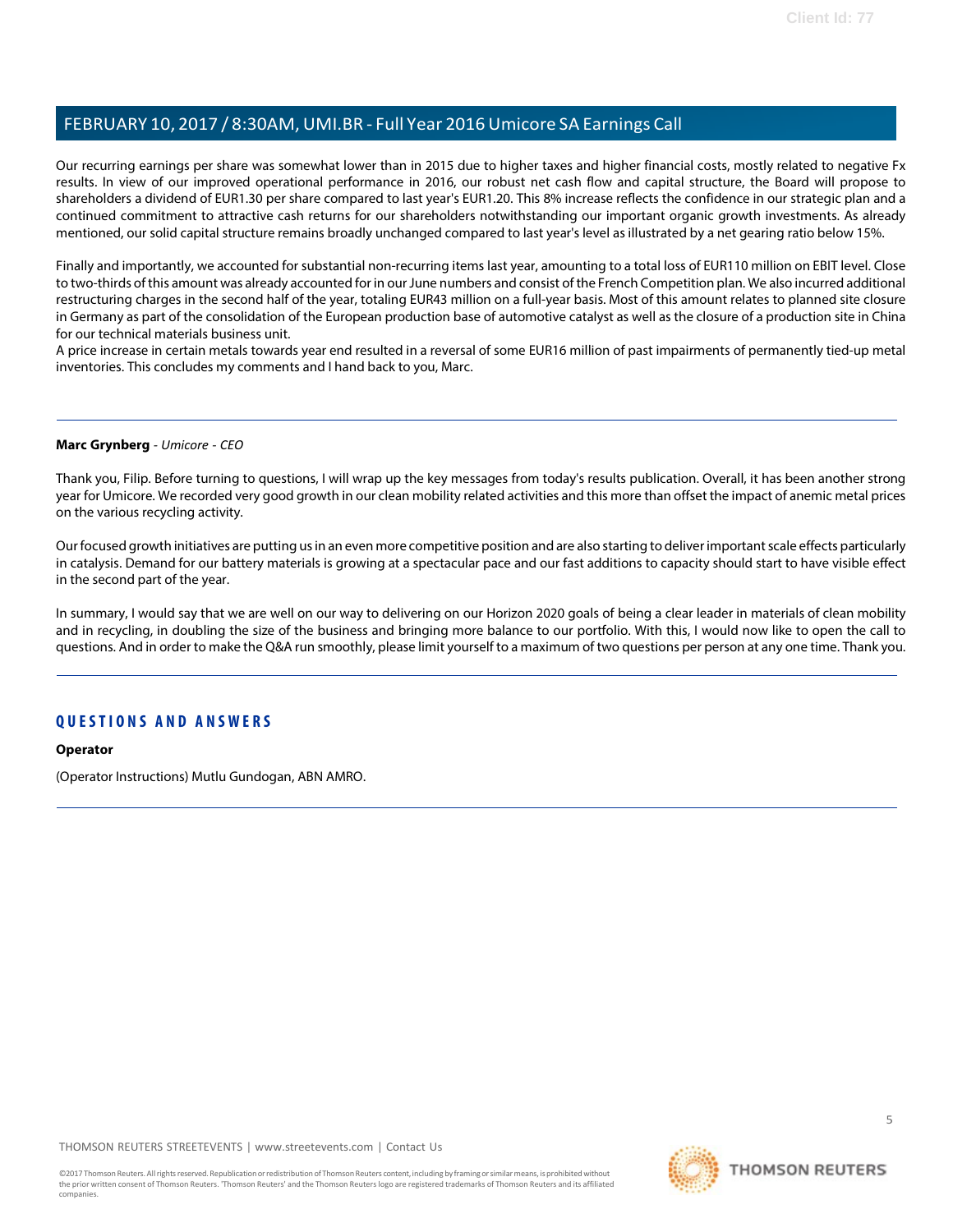Our recurring earnings per share was somewhat lower than in 2015 due to higher taxes and higher financial costs, mostly related to negative Fx results. In view of our improved operational performance in 2016, our robust net cash flow and capital structure, the Board will propose to shareholders a dividend of EUR1.30 per share compared to last year's EUR1.20. This 8% increase reflects the confidence in our strategic plan and a continued commitment to attractive cash returns for our shareholders notwithstanding our important organic growth investments. As already mentioned, our solid capital structure remains broadly unchanged compared to last year's level as illustrated by a net gearing ratio below 15%.

Finally and importantly, we accounted for substantial non-recurring items last year, amounting to a total loss of EUR110 million on EBIT level. Close to two-thirds of this amount was already accounted for in our June numbers and consist of the French Competition plan. We also incurred additional restructuring charges in the second half of the year, totaling EUR43 million on a full-year basis. Most of this amount relates to planned site closure in Germany as part of the consolidation of the European production base of automotive catalyst as well as the closure of a production site in China for our technical materials business unit.

A price increase in certain metals towards year end resulted in a reversal of some EUR16 million of past impairments of permanently tied-up metal inventories. This concludes my comments and I hand back to you, Marc.

#### **Marc Grynberg** *- Umicore - CEO*

Thank you, Filip. Before turning to questions, I will wrap up the key messages from today's results publication. Overall, it has been another strong year for Umicore. We recorded very good growth in our clean mobility related activities and this more than offset the impact of anemic metal prices on the various recycling activity.

Our focused growth initiatives are putting us in an even more competitive position and are also starting to deliver important scale effects particularly in catalysis. Demand for our battery materials is growing at a spectacular pace and our fast additions to capacity should start to have visible effect in the second part of the year.

In summary, I would say that we are well on our way to delivering on our Horizon 2020 goals of being a clear leader in materials of clean mobility and in recycling, in doubling the size of the business and bringing more balance to our portfolio. With this, I would now like to open the call to questions. And in order to make the Q&A run smoothly, please limit yourself to a maximum of two questions per person at any one time. Thank you.

# **Q U ESTI O N S A N D A N S WE R S**

#### **Operator**

(Operator Instructions) Mutlu Gundogan, ABN AMRO.

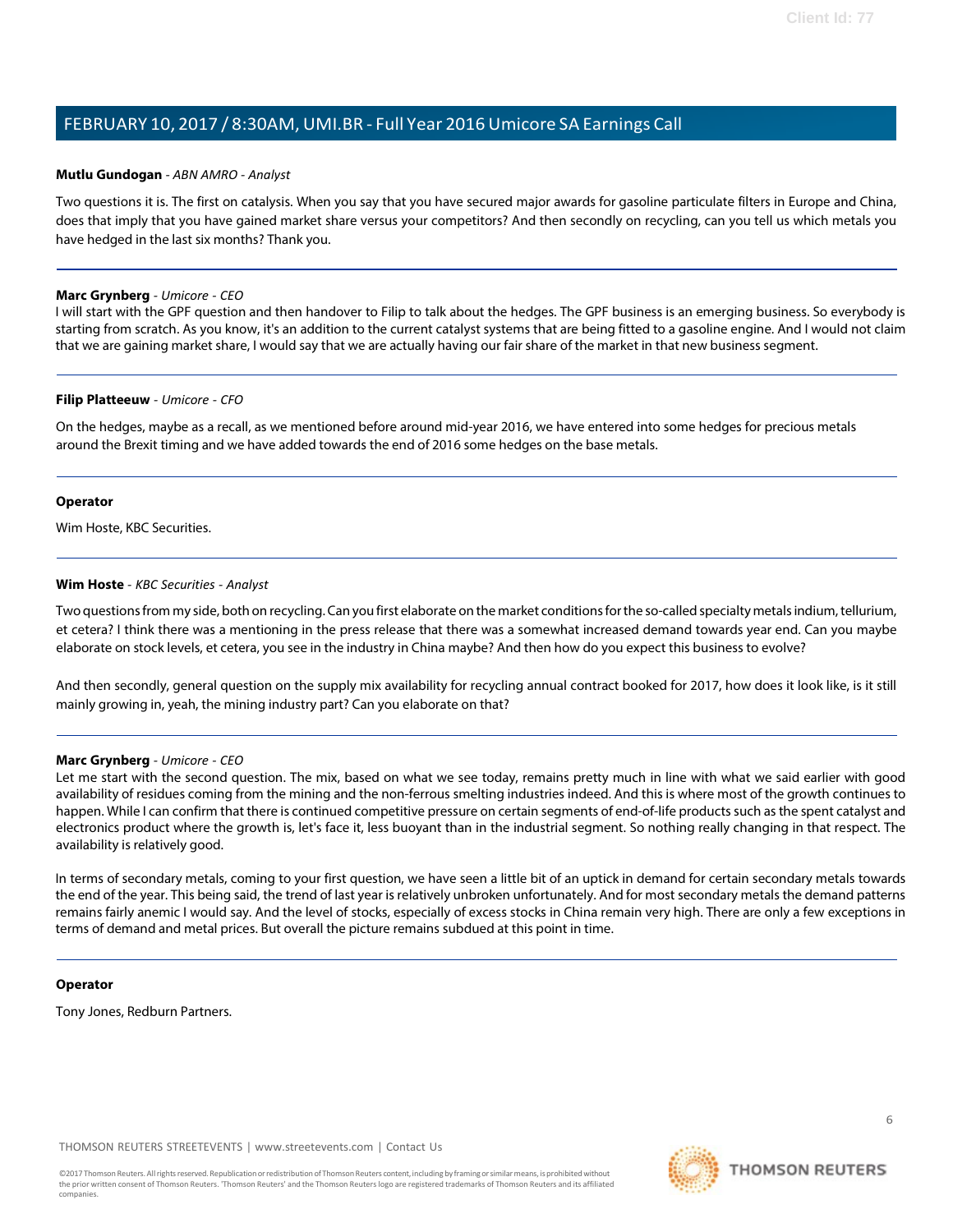#### <span id="page-5-0"></span>**Mutlu Gundogan** *- ABN AMRO - Analyst*

Two questions it is. The first on catalysis. When you say that you have secured major awards for gasoline particulate filters in Europe and China, does that imply that you have gained market share versus your competitors? And then secondly on recycling, can you tell us which metals you have hedged in the last six months? Thank you.

#### **Marc Grynberg** *- Umicore - CEO*

I will start with the GPF question and then handover to Filip to talk about the hedges. The GPF business is an emerging business. So everybody is starting from scratch. As you know, it's an addition to the current catalyst systems that are being fitted to a gasoline engine. And I would not claim that we are gaining market share, I would say that we are actually having our fair share of the market in that new business segment.

#### **Filip Platteeuw** *- Umicore - CFO*

On the hedges, maybe as a recall, as we mentioned before around mid-year 2016, we have entered into some hedges for precious metals around the Brexit timing and we have added towards the end of 2016 some hedges on the base metals.

#### **Operator**

<span id="page-5-1"></span>Wim Hoste, KBC Securities.

#### **Wim Hoste** *- KBC Securities - Analyst*

Two questions from my side, both on recycling. Can you first elaborate on the market conditions for the so-called specialty metals indium, tellurium, et cetera? I think there was a mentioning in the press release that there was a somewhat increased demand towards year end. Can you maybe elaborate on stock levels, et cetera, you see in the industry in China maybe? And then how do you expect this business to evolve?

And then secondly, general question on the supply mix availability for recycling annual contract booked for 2017, how does it look like, is it still mainly growing in, yeah, the mining industry part? Can you elaborate on that?

# **Marc Grynberg** *- Umicore - CEO*

Let me start with the second question. The mix, based on what we see today, remains pretty much in line with what we said earlier with good availability of residues coming from the mining and the non-ferrous smelting industries indeed. And this is where most of the growth continues to happen. While I can confirm that there is continued competitive pressure on certain segments of end-of-life products such as the spent catalyst and electronics product where the growth is, let's face it, less buoyant than in the industrial segment. So nothing really changing in that respect. The availability is relatively good.

In terms of secondary metals, coming to your first question, we have seen a little bit of an uptick in demand for certain secondary metals towards the end of the year. This being said, the trend of last year is relatively unbroken unfortunately. And for most secondary metals the demand patterns remains fairly anemic I would say. And the level of stocks, especially of excess stocks in China remain very high. There are only a few exceptions in terms of demand and metal prices. But overall the picture remains subdued at this point in time.

#### **Operator**

Tony Jones, Redburn Partners.

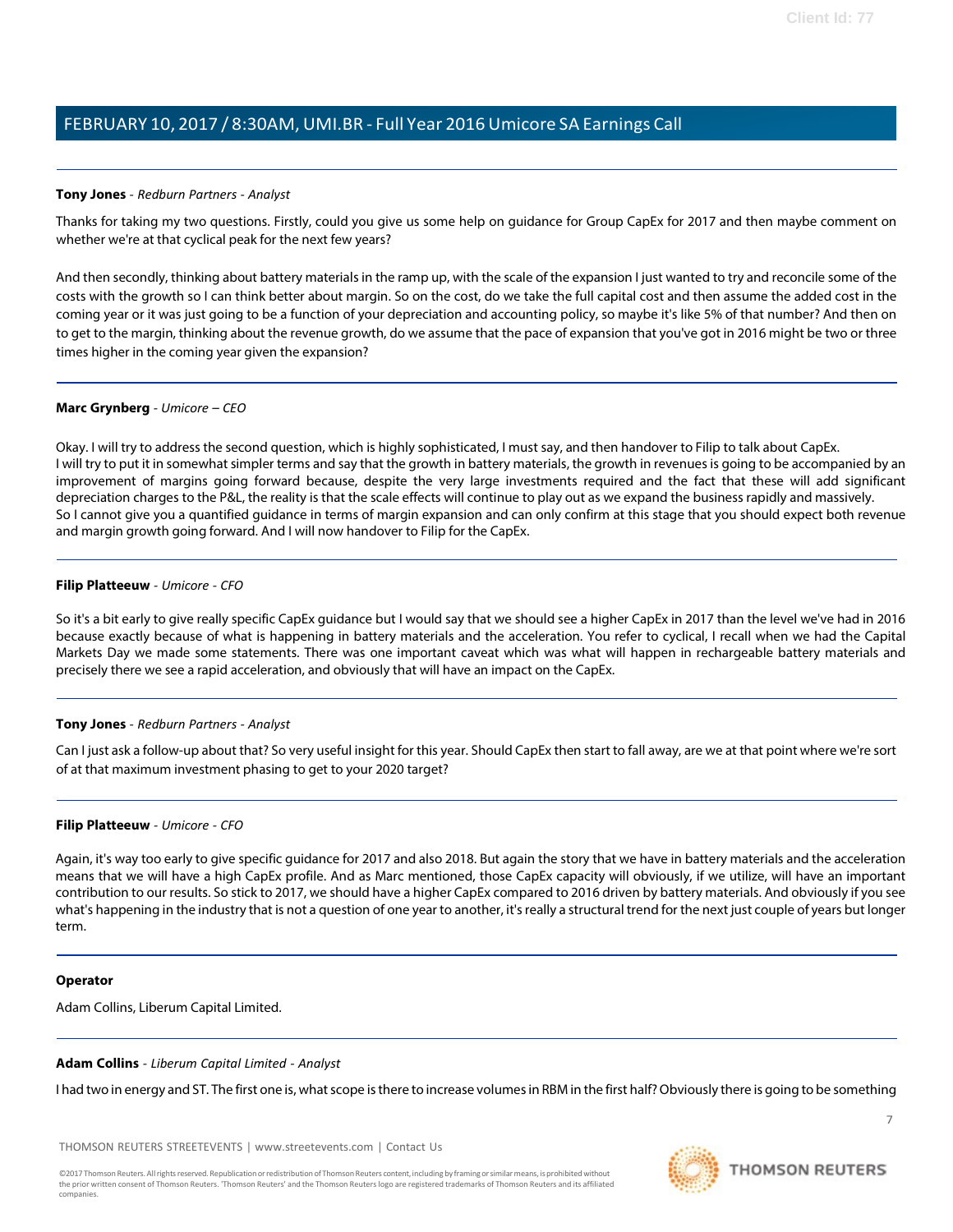# <span id="page-6-0"></span>**Tony Jones** *- Redburn Partners - Analyst*

Thanks for taking my two questions. Firstly, could you give us some help on guidance for Group CapEx for 2017 and then maybe comment on whether we're at that cyclical peak for the next few years?

And then secondly, thinking about battery materialsin the ramp up, with the scale of the expansion I just wanted to try and reconcile some of the costs with the growth so I can think better about margin. So on the cost, do we take the full capital cost and then assume the added cost in the coming year or it was just going to be a function of your depreciation and accounting policy, so maybe it's like 5% of that number? And then on to get to the margin, thinking about the revenue growth, do we assume that the pace of expansion that you've got in 2016 might be two or three times higher in the coming year given the expansion?

#### **Marc Grynberg** *- Umicore – CEO*

Okay. I will try to address the second question, which is highly sophisticated, I must say, and then handover to Filip to talk about CapEx. I will try to put it in somewhat simpler terms and say that the growth in battery materials, the growth in revenues is going to be accompanied by an improvement of margins going forward because, despite the very large investments required and the fact that these will add significant depreciation charges to the P&L, the reality is that the scale effects will continue to play out as we expand the business rapidly and massively. So I cannot give you a quantified guidance in terms of margin expansion and can only confirm at this stage that you should expect both revenue and margin growth going forward. And I will now handover to Filip for the CapEx.

#### **Filip Platteeuw** *- Umicore - CFO*

So it's a bit early to give really specific CapEx guidance but I would say that we should see a higher CapEx in 2017 than the level we've had in 2016 because exactly because of what is happening in battery materials and the acceleration. You refer to cyclical, I recall when we had the Capital Markets Day we made some statements. There was one important caveat which was what will happen in rechargeable battery materials and precisely there we see a rapid acceleration, and obviously that will have an impact on the CapEx.

#### **Tony Jones** *- Redburn Partners - Analyst*

Can I just ask a follow-up about that? So very useful insight for this year. Should CapEx then start to fall away, are we at that point where we're sort of at that maximum investment phasing to get to your 2020 target?

#### **Filip Platteeuw** *- Umicore - CFO*

Again, it's way too early to give specific guidance for 2017 and also 2018. But again the story that we have in battery materials and the acceleration means that we will have a high CapEx profile. And as Marc mentioned, those CapEx capacity will obviously, if we utilize, will have an important contribution to our results. So stick to 2017, we should have a higher CapEx compared to 2016 driven by battery materials. And obviously if you see what's happening in the industry that is not a question of one year to another, it's really a structural trend for the next just couple of years but longer term.

#### **Operator**

Adam Collins, Liberum Capital Limited.

# <span id="page-6-1"></span>**Adam Collins** *- Liberum Capital Limited - Analyst*

I had two in energy and ST. The first one is, what scope is there to increase volumes in RBM in the first half? Obviously there is going to be something

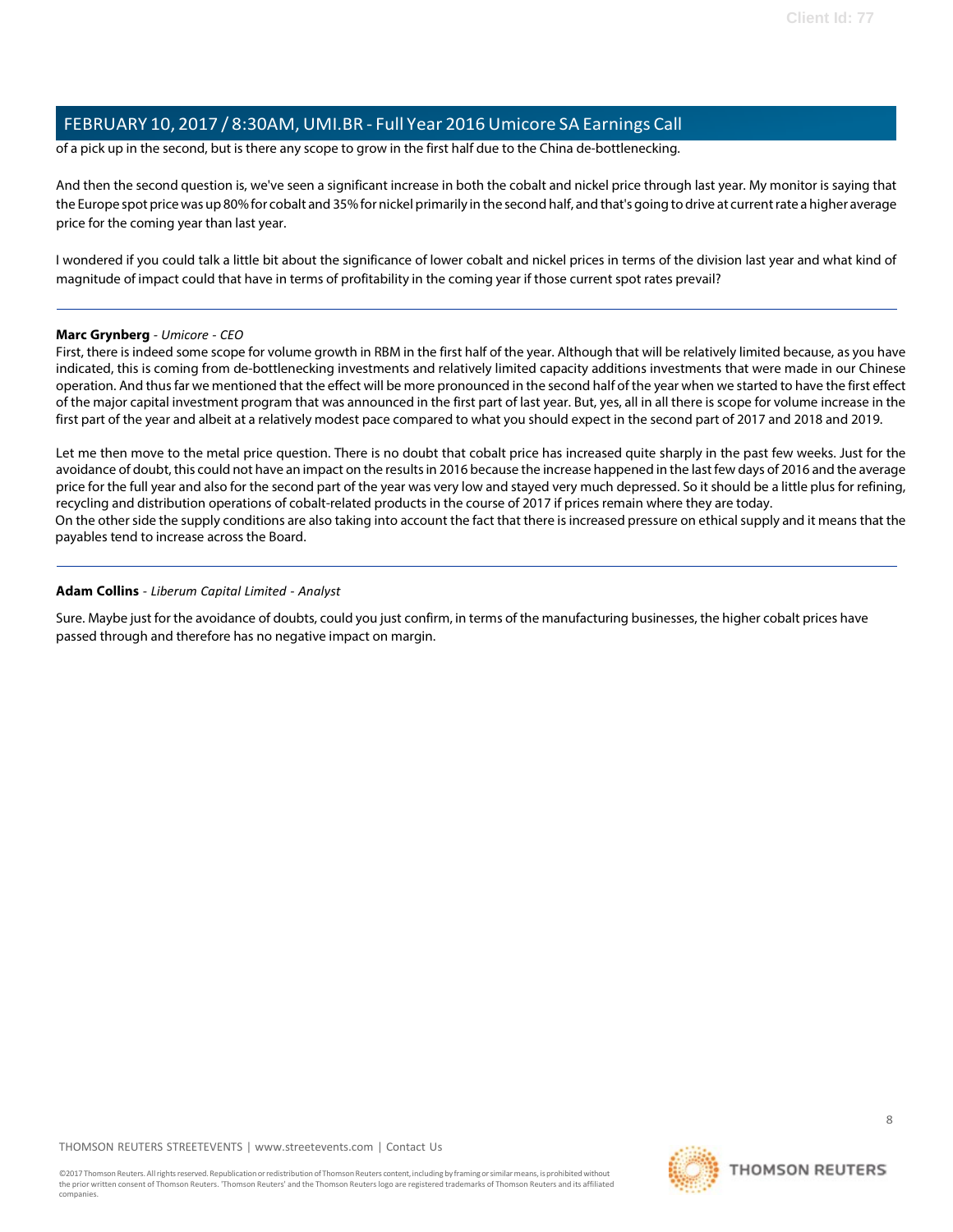of a pick up in the second, but is there any scope to grow in the first half due to the China de-bottlenecking.

And then the second question is, we've seen a significant increase in both the cobalt and nickel price through last year. My monitor is saying that the Europe spot price was up 80% for cobalt and 35% for nickel primarily in the second half, and that's going to drive at current rate a higher average price for the coming year than last year.

I wondered if you could talk a little bit about the significance of lower cobalt and nickel prices in terms of the division last year and what kind of magnitude of impact could that have in terms of profitability in the coming year if those current spot rates prevail?

# **Marc Grynberg** *- Umicore - CEO*

First, there is indeed some scope for volume growth in RBM in the first half of the year. Although that will be relatively limited because, as you have indicated, this is coming from de-bottlenecking investments and relatively limited capacity additions investments that were made in our Chinese operation. And thus far we mentioned that the effect will be more pronounced in the second half of the year when we started to have the first effect of the major capital investment program that was announced in the first part of last year. But, yes, all in all there is scope for volume increase in the first part of the year and albeit at a relatively modest pace compared to what you should expect in the second part of 2017 and 2018 and 2019.

Let me then move to the metal price question. There is no doubt that cobalt price has increased quite sharply in the past few weeks. Just for the avoidance of doubt, this could not have an impact on the results in 2016 because the increase happened in the last few days of 2016 and the average price for the full year and also for the second part of the year was very low and stayed very much depressed. So it should be a little plus for refining, recycling and distribution operations of cobalt-related products in the course of 2017 if prices remain where they are today. On the other side the supply conditions are also taking into account the fact that there is increased pressure on ethical supply and it means that the payables tend to increase across the Board.

#### **Adam Collins** *- Liberum Capital Limited - Analyst*

Sure. Maybe just for the avoidance of doubts, could you just confirm, in terms of the manufacturing businesses, the higher cobalt prices have passed through and therefore has no negative impact on margin.

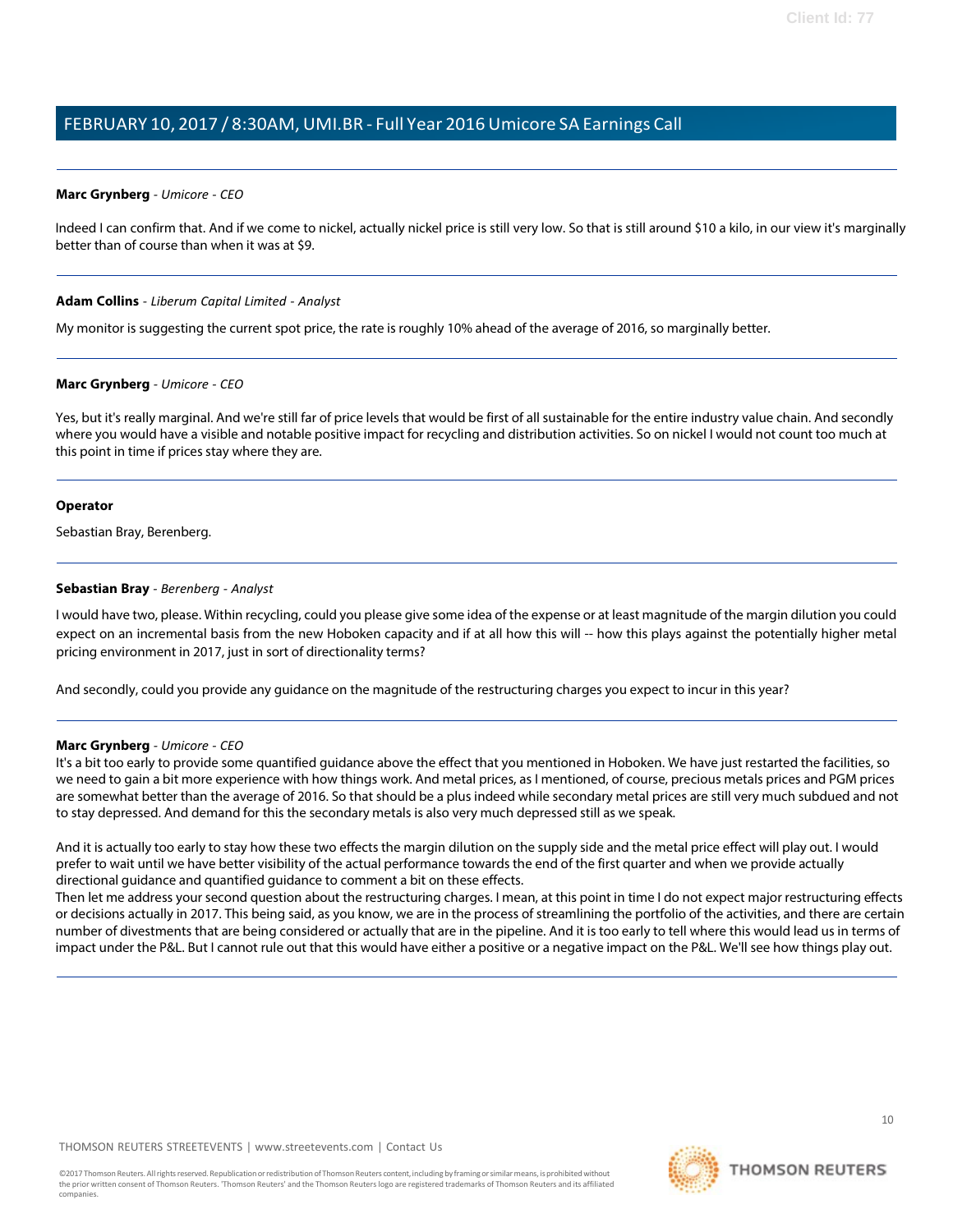#### **Marc Grynberg** *- Umicore - CEO*

Indeed I can confirm that. And if we come to nickel, actually nickel price is still very low. So that is still around \$10 a kilo, in our view it's marginally better than of course than when it was at \$9.

#### **Adam Collins** *- Liberum Capital Limited - Analyst*

My monitor is suggesting the current spot price, the rate is roughly 10% ahead of the average of 2016, so marginally better.

#### **Marc Grynberg** *- Umicore - CEO*

Yes, but it's really marginal. And we're still far of price levels that would be first of all sustainable for the entire industry value chain. And secondly where you would have a visible and notable positive impact for recycling and distribution activities. So on nickel I would not count too much at this point in time if prices stay where they are.

#### **Operator**

<span id="page-8-0"></span>Sebastian Bray, Berenberg.

## **Sebastian Bray** *- Berenberg - Analyst*

I would have two, please. Within recycling, could you please give some idea of the expense or at least magnitude of the margin dilution you could expect on an incremental basis from the new Hoboken capacity and if at all how this will -- how this plays against the potentially higher metal pricing environment in 2017, just in sort of directionality terms?

And secondly, could you provide any guidance on the magnitude of the restructuring charges you expect to incur in this year?

#### **Marc Grynberg** *- Umicore - CEO*

It's a bit too early to provide some quantified guidance above the effect that you mentioned in Hoboken. We have just restarted the facilities, so we need to gain a bit more experience with how things work. And metal prices, as I mentioned, of course, precious metals prices and PGM prices are somewhat better than the average of 2016. So that should be a plus indeed while secondary metal prices are still very much subdued and not to stay depressed. And demand for this the secondary metals is also very much depressed still as we speak.

And it is actually too early to stay how these two effects the margin dilution on the supply side and the metal price effect will play out. I would prefer to wait until we have better visibility of the actual performance towards the end of the first quarter and when we provide actually directional guidance and quantified guidance to comment a bit on these effects.

Then let me address your second question about the restructuring charges. I mean, at this point in time I do not expect major restructuring effects or decisions actually in 2017. This being said, as you know, we are in the process of streamlining the portfolio of the activities, and there are certain number of divestments that are being considered or actually that are in the pipeline. And it is too early to tell where this would lead us in terms of impact under the P&L. But I cannot rule out that this would have either a positive or a negative impact on the P&L. We'll see how things play out.

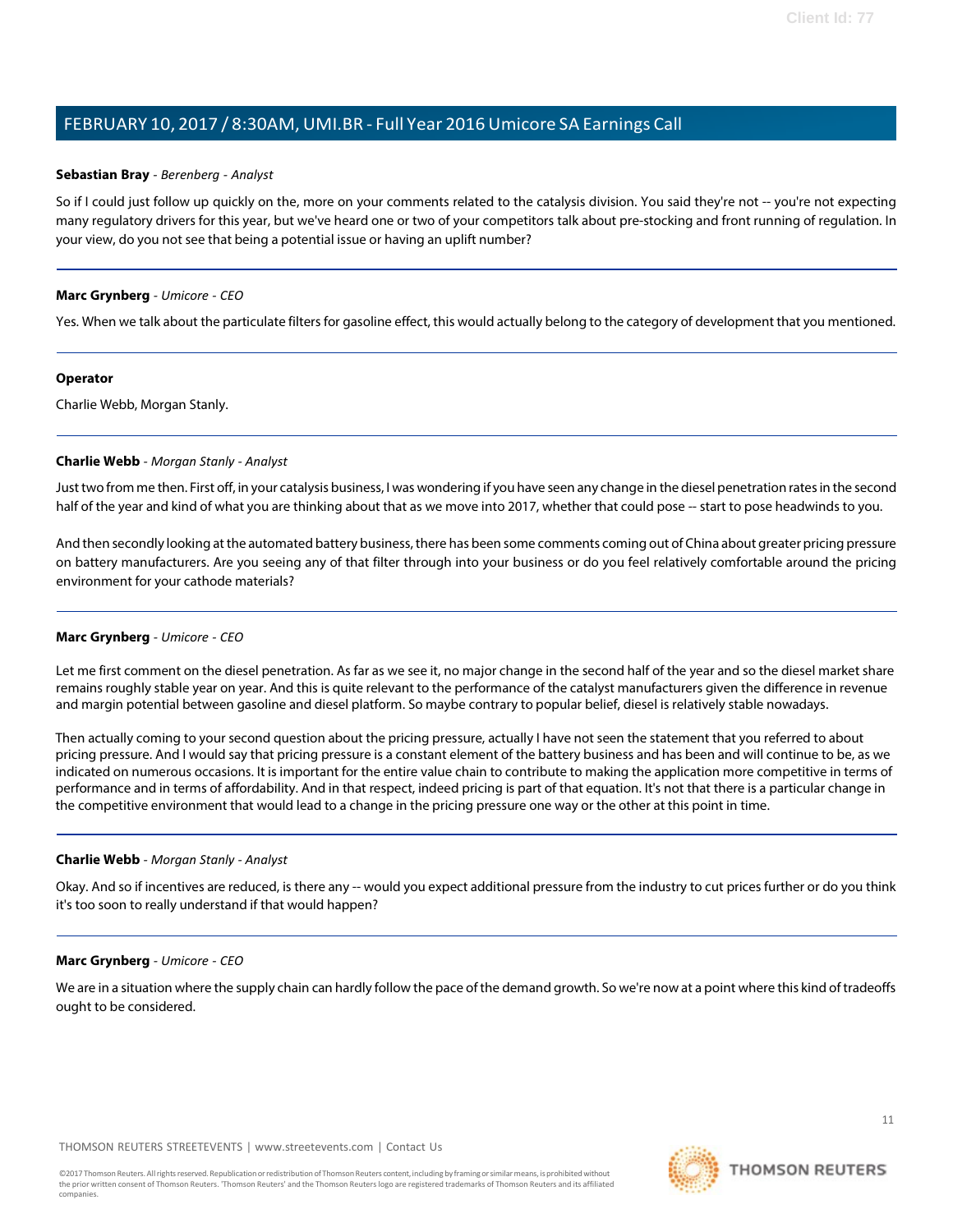## **Sebastian Bray** *- Berenberg - Analyst*

So if I could just follow up quickly on the, more on your comments related to the catalysis division. You said they're not -- you're not expecting many regulatory drivers for this year, but we've heard one or two of your competitors talk about pre-stocking and front running of regulation. In your view, do you not see that being a potential issue or having an uplift number?

## **Marc Grynberg** *- Umicore - CEO*

Yes. When we talk about the particulate filters for gasoline effect, this would actually belong to the category of development that you mentioned.

#### **Operator**

<span id="page-9-0"></span>Charlie Webb, Morgan Stanly.

#### **Charlie Webb** *- Morgan Stanly - Analyst*

Justtwo from me then. First off, in your catalysis business, I was wondering if you have seen any change in the diesel penetration ratesin the second half of the year and kind of what you are thinking about that as we move into 2017, whether that could pose -- start to pose headwinds to you.

And then secondly looking at the automated battery business, there has been some comments coming out of China about greater pricing pressure on battery manufacturers. Are you seeing any of that filter through into your business or do you feel relatively comfortable around the pricing environment for your cathode materials?

# **Marc Grynberg** *- Umicore - CEO*

Let me first comment on the diesel penetration. As far as we see it, no major change in the second half of the year and so the diesel market share remains roughly stable year on year. And this is quite relevant to the performance of the catalyst manufacturers given the difference in revenue and margin potential between gasoline and diesel platform. So maybe contrary to popular belief, diesel is relatively stable nowadays.

Then actually coming to your second question about the pricing pressure, actually I have not seen the statement that you referred to about pricing pressure. And I would say that pricing pressure is a constant element of the battery business and has been and will continue to be, as we indicated on numerous occasions. It is important for the entire value chain to contribute to making the application more competitive in terms of performance and in terms of affordability. And in that respect, indeed pricing is part of that equation. It's not that there is a particular change in the competitive environment that would lead to a change in the pricing pressure one way or the other at this point in time.

# **Charlie Webb** *- Morgan Stanly - Analyst*

Okay. And so if incentives are reduced, is there any -- would you expect additional pressure from the industry to cut prices further or do you think it's too soon to really understand if that would happen?

#### **Marc Grynberg** *- Umicore - CEO*

We are in a situation where the supply chain can hardly follow the pace of the demand growth. So we're now at a point where this kind of tradeoffs ought to be considered.

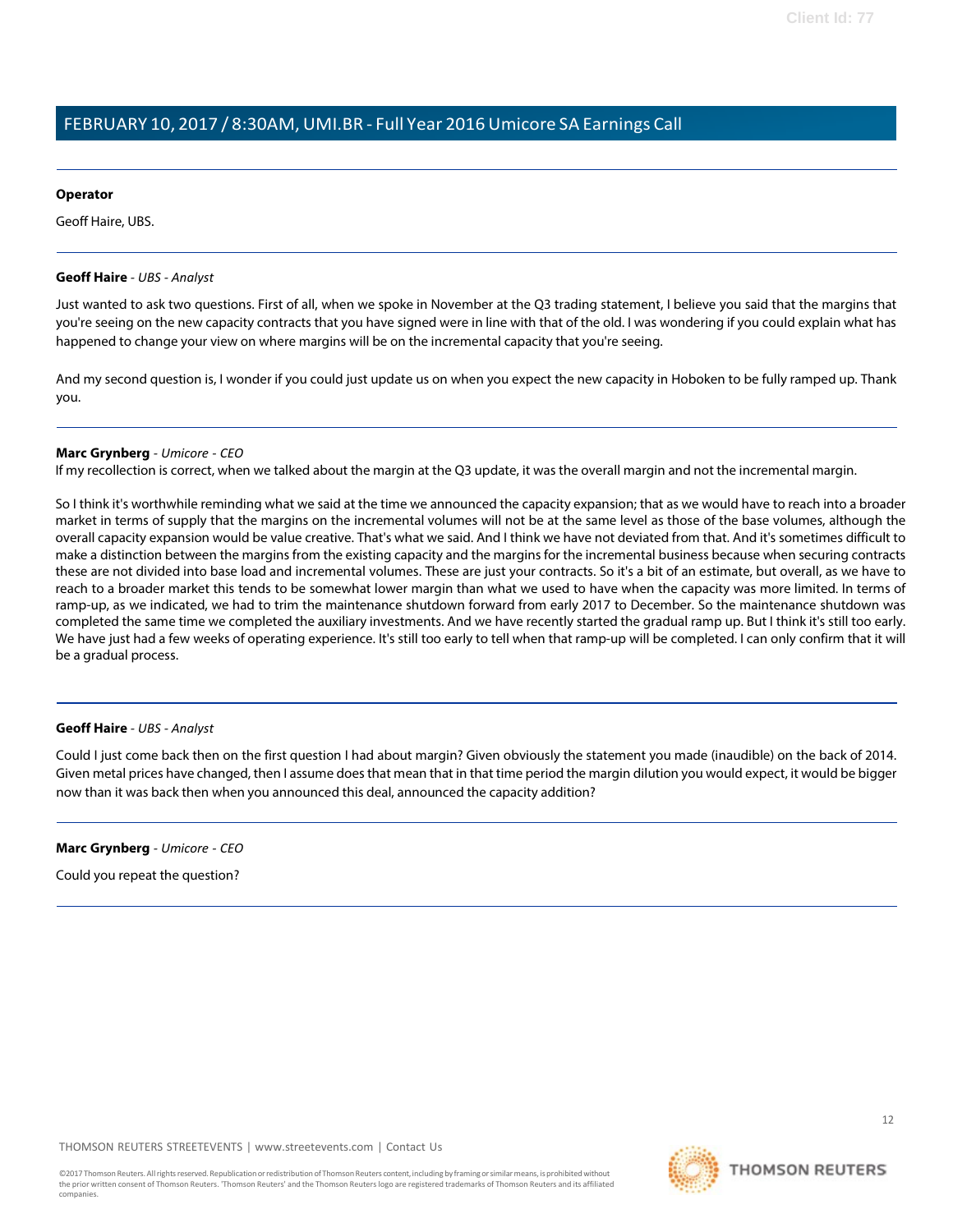#### **Operator**

Geoff Haire, UBS.

#### <span id="page-10-0"></span>**Geoff Haire** *- UBS - Analyst*

Just wanted to ask two questions. First of all, when we spoke in November at the Q3 trading statement, I believe you said that the margins that you're seeing on the new capacity contracts that you have signed were in line with that of the old. I was wondering if you could explain what has happened to change your view on where margins will be on the incremental capacity that you're seeing.

And my second question is, I wonder if you could just update us on when you expect the new capacity in Hoboken to be fully ramped up. Thank you.

#### **Marc Grynberg** *- Umicore - CEO*

If my recollection is correct, when we talked about the margin at the Q3 update, it was the overall margin and not the incremental margin.

So I think it's worthwhile reminding what we said at the time we announced the capacity expansion; that as we would have to reach into a broader market in terms of supply that the margins on the incremental volumes will not be at the same level as those of the base volumes, although the overall capacity expansion would be value creative. That's what we said. And I think we have not deviated from that. And it's sometimes difficult to make a distinction between the margins from the existing capacity and the margins for the incremental business because when securing contracts these are not divided into base load and incremental volumes. These are just your contracts. So it's a bit of an estimate, but overall, as we have to reach to a broader market this tends to be somewhat lower margin than what we used to have when the capacity was more limited. In terms of ramp-up, as we indicated, we had to trim the maintenance shutdown forward from early 2017 to December. So the maintenance shutdown was completed the same time we completed the auxiliary investments. And we have recently started the gradual ramp up. But I think it's still too early. We have just had a few weeks of operating experience. It's still too early to tell when that ramp-up will be completed. I can only confirm that it will be a gradual process.

#### **Geoff Haire** *- UBS - Analyst*

Could I just come back then on the first question I had about margin? Given obviously the statement you made (inaudible) on the back of 2014. Given metal prices have changed, then I assume does that mean that in that time period the margin dilution you would expect, it would be bigger now than it was back then when you announced this deal, announced the capacity addition?

#### **Marc Grynberg** *- Umicore - CEO*

Could you repeat the question?

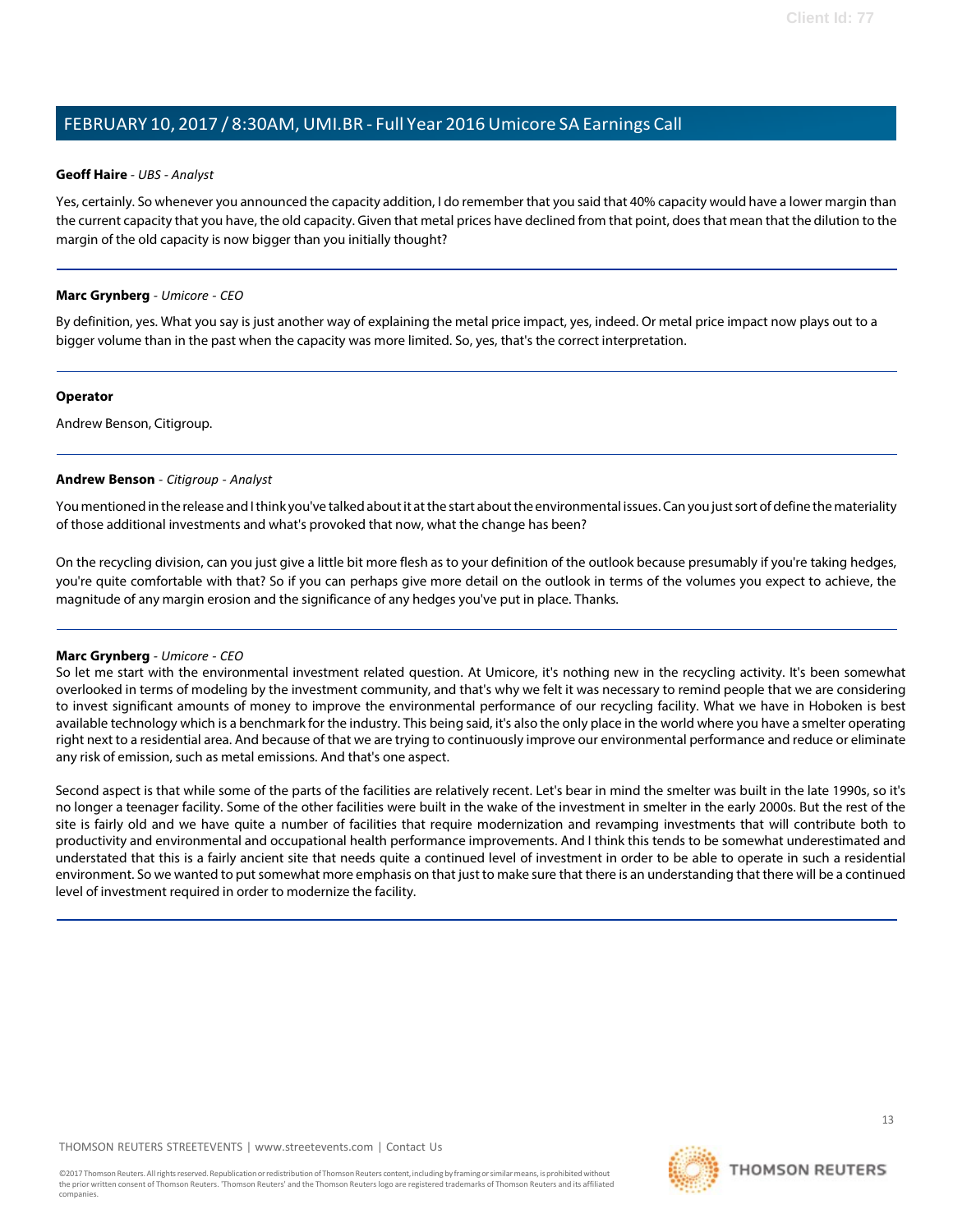#### **Geoff Haire** *- UBS - Analyst*

Yes, certainly. So whenever you announced the capacity addition, I do remember that you said that 40% capacity would have a lower margin than the current capacity that you have, the old capacity. Given that metal prices have declined from that point, doesthat mean that the dilution to the margin of the old capacity is now bigger than you initially thought?

## **Marc Grynberg** *- Umicore - CEO*

By definition, yes. What you say is just another way of explaining the metal price impact, yes, indeed. Or metal price impact now plays out to a bigger volume than in the past when the capacity was more limited. So, yes, that's the correct interpretation.

#### **Operator**

<span id="page-11-0"></span>Andrew Benson, Citigroup.

# **Andrew Benson** *- Citigroup - Analyst*

You mentioned in the release and I think you've talked about it at the start about the environmental issues. Can you just sort of define the materiality of those additional investments and what's provoked that now, what the change has been?

On the recycling division, can you just give a little bit more flesh as to your definition of the outlook because presumably if you're taking hedges, you're quite comfortable with that? So if you can perhaps give more detail on the outlook in terms of the volumes you expect to achieve, the magnitude of any margin erosion and the significance of any hedges you've put in place. Thanks.

# **Marc Grynberg** *- Umicore - CEO*

So let me start with the environmental investment related question. At Umicore, it's nothing new in the recycling activity. It's been somewhat overlooked in terms of modeling by the investment community, and that's why we felt it was necessary to remind people that we are considering to invest significant amounts of money to improve the environmental performance of our recycling facility. What we have in Hoboken is best available technology which is a benchmark for the industry. This being said, it's also the only place in the world where you have a smelter operating right next to a residential area. And because of that we are trying to continuously improve our environmental performance and reduce or eliminate any risk of emission, such as metal emissions. And that's one aspect.

Second aspect is that while some of the parts of the facilities are relatively recent. Let's bear in mind the smelter was built in the late 1990s, so it's no longer a teenager facility. Some of the other facilities were built in the wake of the investment in smelter in the early 2000s. But the rest of the site is fairly old and we have quite a number of facilities that require modernization and revamping investments that will contribute both to productivity and environmental and occupational health performance improvements. And I think this tends to be somewhat underestimated and understated that this is a fairly ancient site that needs quite a continued level of investment in order to be able to operate in such a residential environment. So we wanted to put somewhat more emphasis on that just to make sure that there is an understanding that there will be a continued level of investment required in order to modernize the facility.

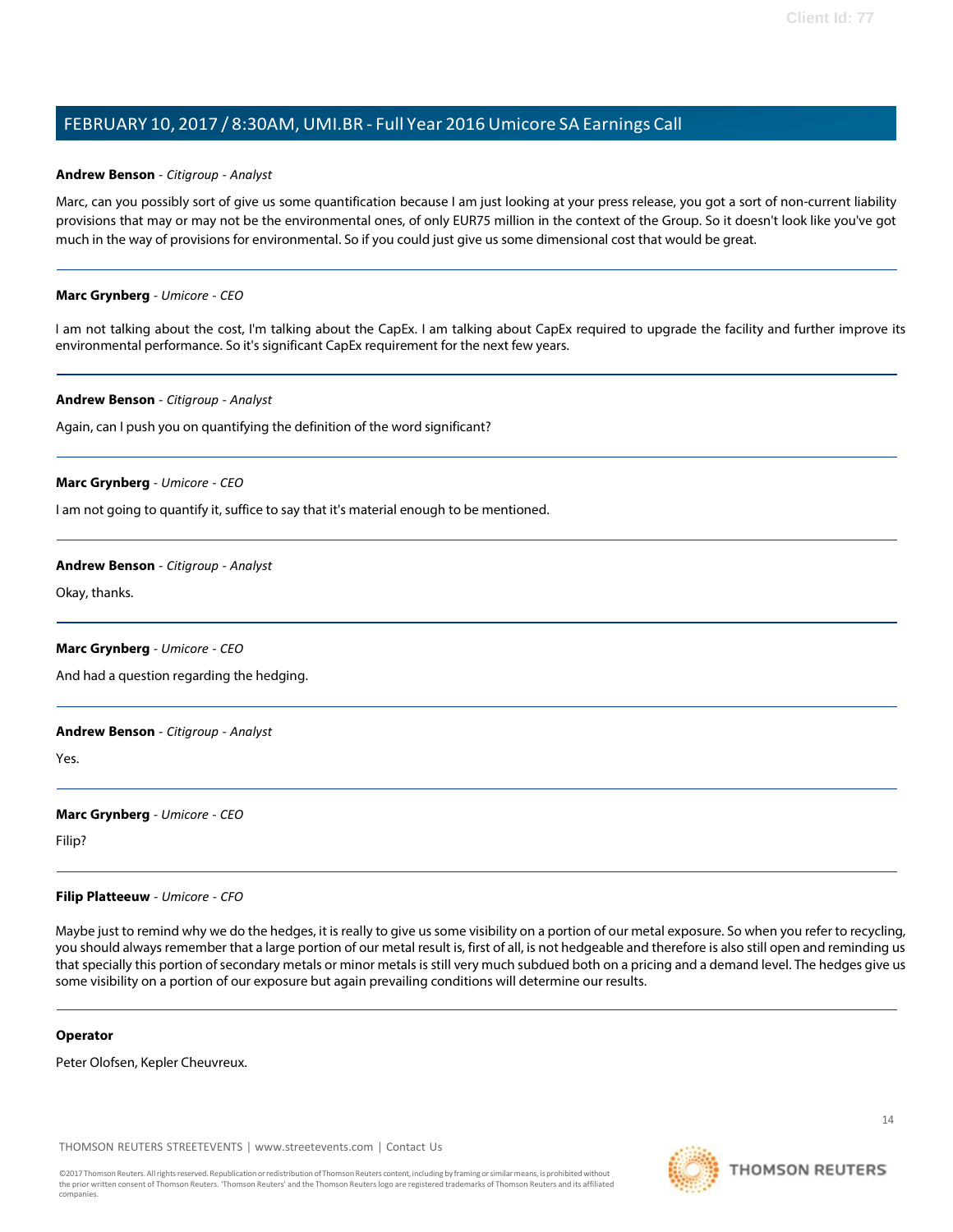#### **Andrew Benson** *- Citigroup - Analyst*

Marc, can you possibly sort of give us some quantification because I am just looking at your press release, you got a sort of non-current liability provisions that may or may not be the environmental ones, of only EUR75 million in the context of the Group. So it doesn't look like you've got much in the way of provisions for environmental. So if you could just give us some dimensional cost that would be great.

#### **Marc Grynberg** *- Umicore - CEO*

I am not talking about the cost, I'm talking about the CapEx. I am talking about CapEx required to upgrade the facility and further improve its environmental performance. So it's significant CapEx requirement for the next few years.

#### **Andrew Benson** *- Citigroup - Analyst*

Again, can I push you on quantifying the definition of the word significant?

#### **Marc Grynberg** *- Umicore - CEO*

I am not going to quantify it, suffice to say that it's material enough to be mentioned.

#### **Andrew Benson** *- Citigroup - Analyst*

Okay, thanks.

#### **Marc Grynberg** *- Umicore - CEO*

And had a question regarding the hedging.

#### **Andrew Benson** *- Citigroup - Analyst*

Yes.

# **Marc Grynberg** *- Umicore - CEO*

Filip?

#### **Filip Platteeuw** *- Umicore - CFO*

Maybe just to remind why we do the hedges, it is really to give us some visibility on a portion of our metal exposure. So when you refer to recycling, you should always remember that a large portion of our metal result is, first of all, is not hedgeable and therefore is also still open and reminding us that specially this portion of secondary metals or minor metals is still very much subdued both on a pricing and a demand level. The hedges give us some visibility on a portion of our exposure but again prevailing conditions will determine our results.

#### **Operator**

Peter Olofsen, Kepler Cheuvreux.

THOMSON REUTERS STREETEVENTS | [www.streetevents.com](http://www.streetevents.com/) | [Contact](http://www010.streetevents.com/contact.asp) Us



**THOMSON REUTERS**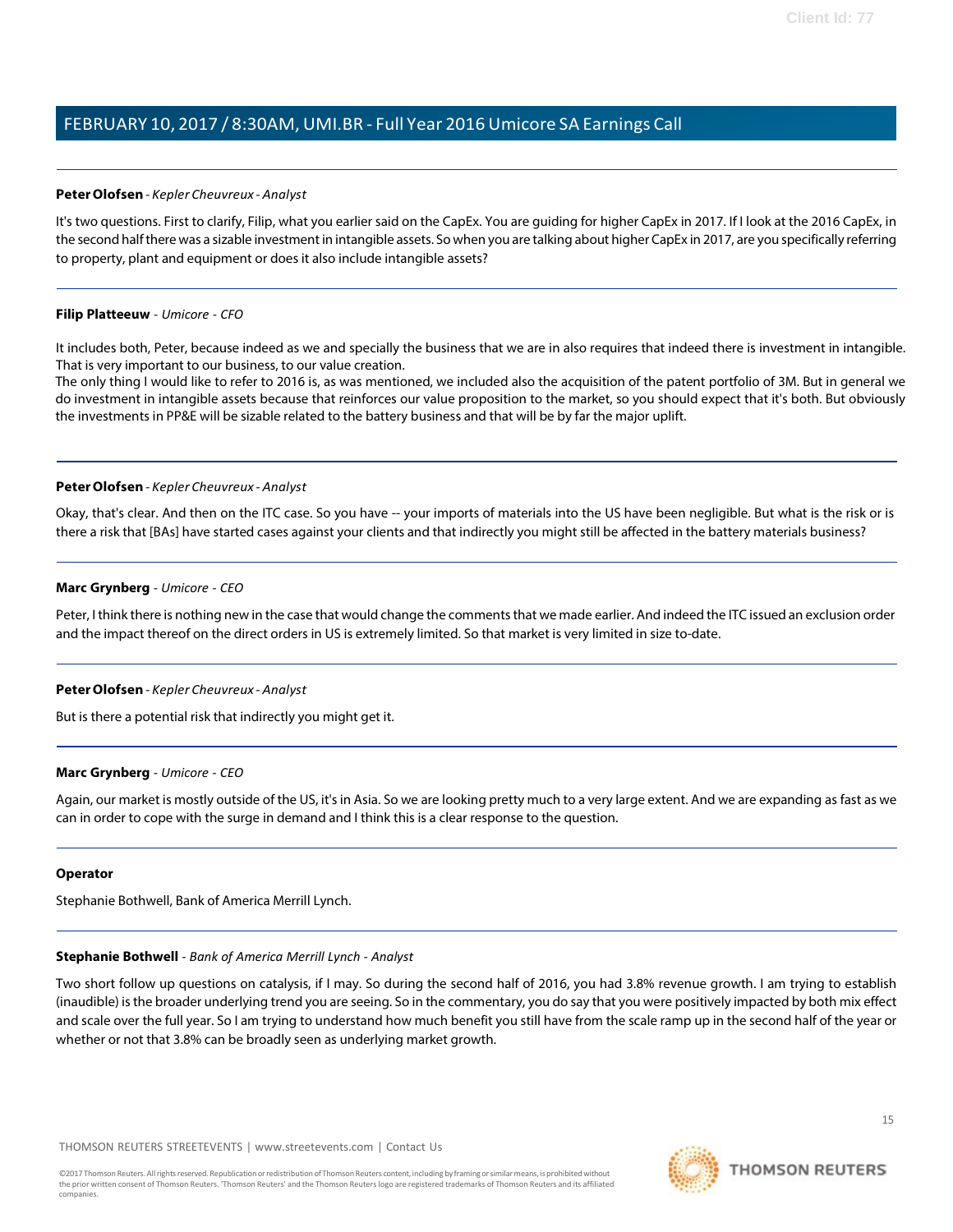## <span id="page-13-0"></span>**PeterOlofsen***- Kepler Cheuvreux - Analyst*

It's two questions. First to clarify, Filip, what you earlier said on the CapEx. You are guiding for higher CapEx in 2017. If I look at the 2016 CapEx, in the second halfthere was a sizable investmentin intangible assets. So when you are talking about higher CapEx in 2017, are you specifically referring to property, plant and equipment or does it also include intangible assets?

#### **Filip Platteeuw** *- Umicore - CFO*

It includes both, Peter, because indeed as we and specially the business that we are in also requires that indeed there is investment in intangible. That is very important to our business, to our value creation.

The only thing I would like to refer to 2016 is, as was mentioned, we included also the acquisition of the patent portfolio of 3M. But in general we do investment in intangible assets because that reinforces our value proposition to the market, so you should expect that it's both. But obviously the investments in PP&E will be sizable related to the battery business and that will be by far the major uplift.

#### **PeterOlofsen***- Kepler Cheuvreux - Analyst*

Okay, that's clear. And then on the ITC case. So you have -- your imports of materials into the US have been negligible. But what is the risk or is there a risk that [BAs] have started cases against your clients and that indirectly you might still be affected in the battery materials business?

#### **Marc Grynberg** *- Umicore - CEO*

Peter, I think there is nothing new in the case that would change the comments that we made earlier. And indeed the ITC issued an exclusion order and the impact thereof on the direct orders in US is extremely limited. So that market is very limited in size to-date.

# **PeterOlofsen***- Kepler Cheuvreux - Analyst*

But is there a potential risk that indirectly you might get it.

#### **Marc Grynberg** *- Umicore - CEO*

Again, our market is mostly outside of the US, it'sin Asia. So we are looking pretty much to a very large extent. And we are expanding as fast as we can in order to cope with the surge in demand and I think this is a clear response to the question.

#### <span id="page-13-1"></span>**Operator**

Stephanie Bothwell, Bank of America Merrill Lynch.

# **Stephanie Bothwell** *- Bank of America Merrill Lynch - Analyst*

Two short follow up questions on catalysis, if I may. So during the second half of 2016, you had 3.8% revenue growth. I am trying to establish (inaudible) isthe broader underlying trend you are seeing. So in the commentary, you do say that you were positively impacted by both mix effect and scale over the full year. So I am trying to understand how much benefit you still have from the scale ramp up in the second half of the year or whether or not that 3.8% can be broadly seen as underlying market growth.

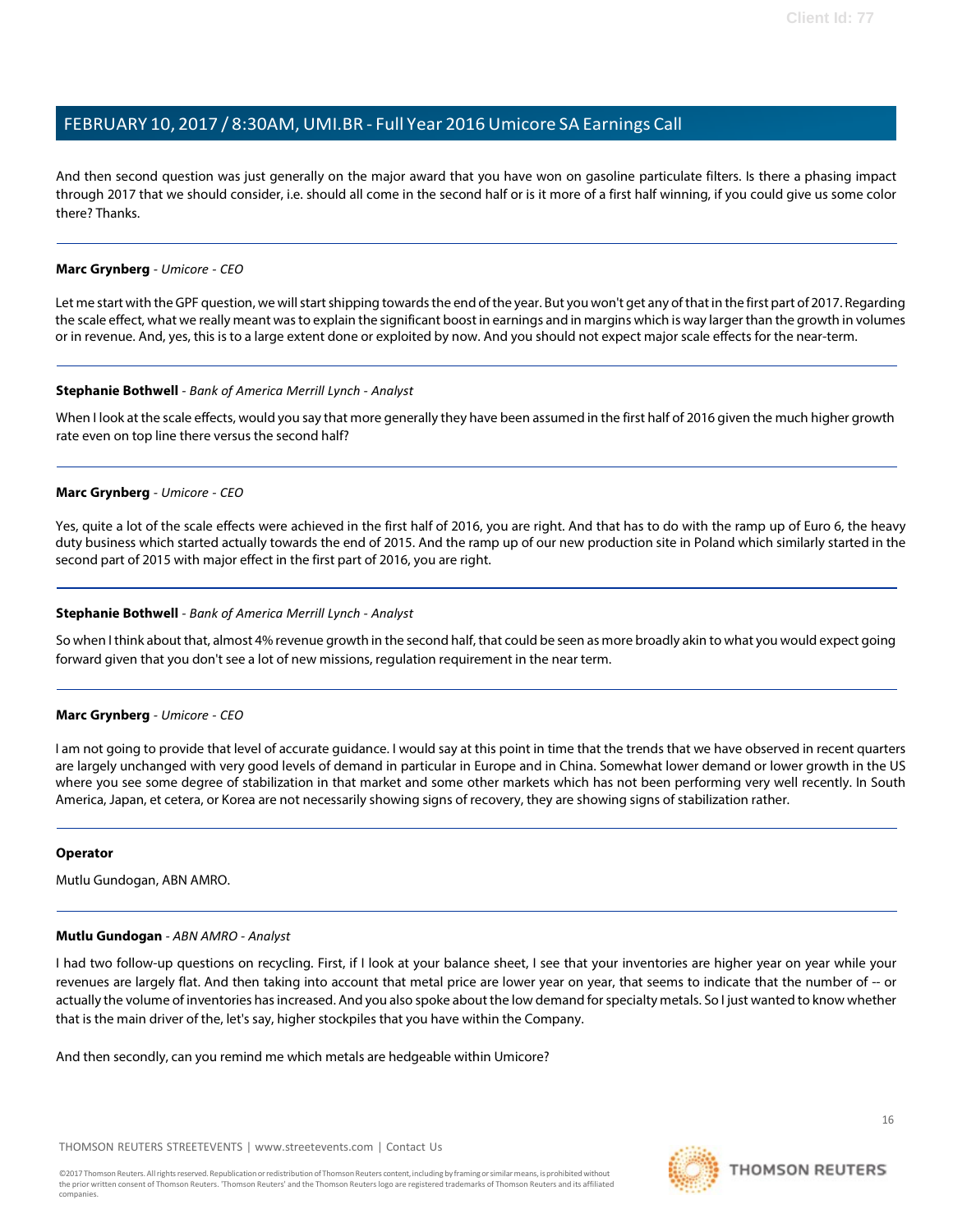And then second question was just generally on the major award that you have won on gasoline particulate filters. Is there a phasing impact through 2017 that we should consider, i.e. should all come in the second half or is it more of a first half winning, if you could give us some color there? Thanks.

# **Marc Grynberg** *- Umicore - CEO*

Let me start with the GPF question, we will start shipping towards the end of the year. But you won't get any of that in the first part of 2017. Regarding the scale effect, what we really meant was to explain the significant boost in earnings and in margins which is way larger than the growth in volumes or in revenue. And, yes, this is to a large extent done or exploited by now. And you should not expect major scale effects for the near-term.

#### **Stephanie Bothwell** *- Bank of America Merrill Lynch - Analyst*

When I look at the scale effects, would you say that more generally they have been assumed in the first half of 2016 given the much higher growth rate even on top line there versus the second half?

#### **Marc Grynberg** *- Umicore - CEO*

Yes, quite a lot of the scale effects were achieved in the first half of 2016, you are right. And that has to do with the ramp up of Euro 6, the heavy duty business which started actually towards the end of 2015. And the ramp up of our new production site in Poland which similarly started in the second part of 2015 with major effect in the first part of 2016, you are right.

## **Stephanie Bothwell** *- Bank of America Merrill Lynch - Analyst*

So when I think about that, almost 4% revenue growth in the second half, that could be seen as more broadly akin to what you would expect going forward given that you don't see a lot of new missions, regulation requirement in the near term.

#### **Marc Grynberg** *- Umicore - CEO*

I am not going to provide that level of accurate guidance. I would say at this point in time that the trends that we have observed in recent quarters are largely unchanged with very good levels of demand in particular in Europe and in China. Somewhat lower demand or lower growth in the US where you see some degree of stabilization in that market and some other markets which has not been performing very well recently. In South America, Japan, et cetera, or Korea are not necessarily showing signs of recovery, they are showing signs of stabilization rather.

#### **Operator**

Mutlu Gundogan, ABN AMRO.

#### **Mutlu Gundogan** *- ABN AMRO - Analyst*

I had two follow-up questions on recycling. First, if I look at your balance sheet, I see that your inventories are higher year on year while your revenues are largely flat. And then taking into account that metal price are lower year on year, that seems to indicate that the number of -- or actually the volume of inventories has increased. And you also spoke about the low demand for specialty metals. So I just wanted to know whether that is the main driver of the, let's say, higher stockpiles that you have within the Company.

And then secondly, can you remind me which metals are hedgeable within Umicore?

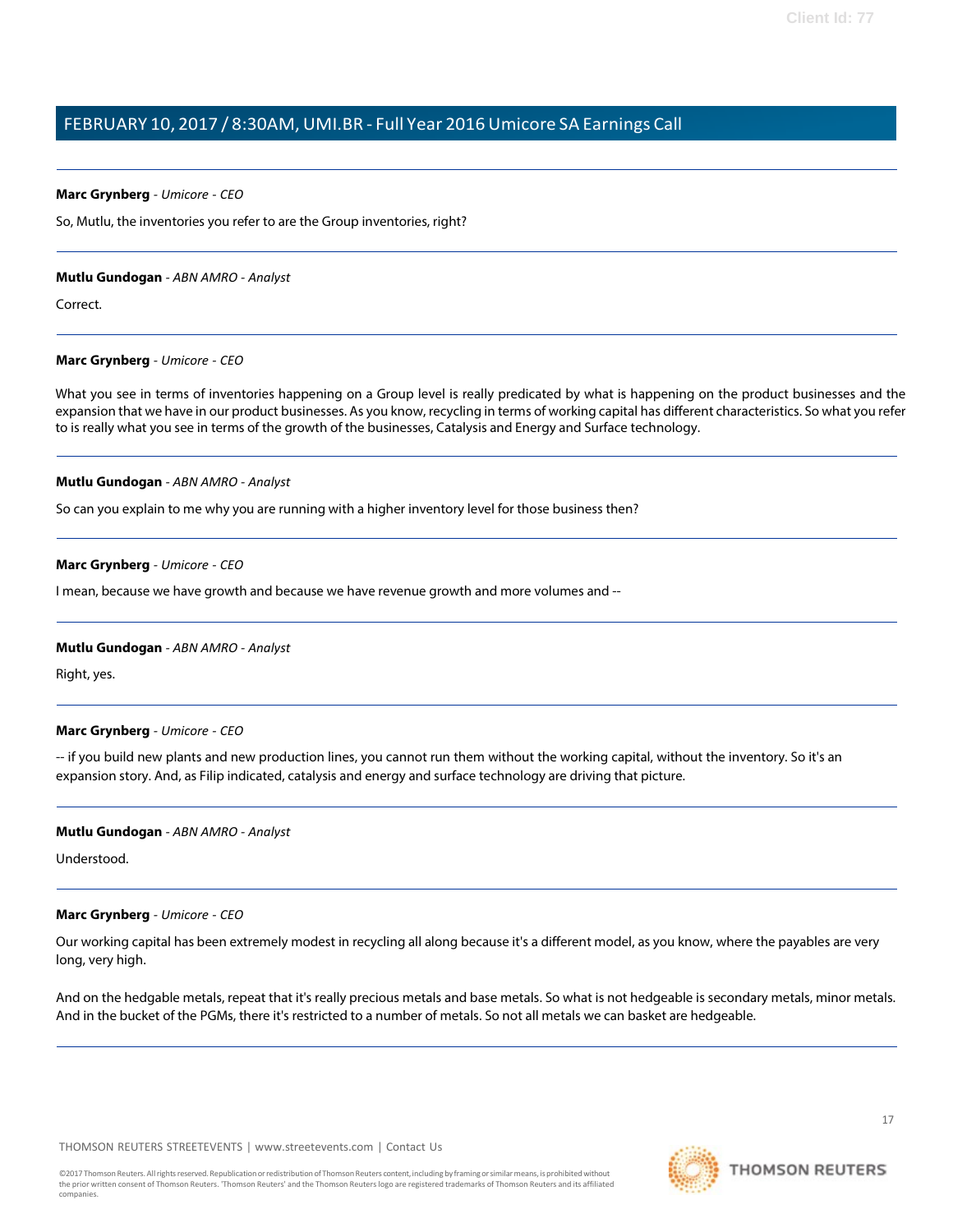# **Marc Grynberg** *- Umicore - CEO*

So, Mutlu, the inventories you refer to are the Group inventories, right?

# **Mutlu Gundogan** *- ABN AMRO - Analyst*

Correct.

# **Marc Grynberg** *- Umicore - CEO*

What you see in terms of inventories happening on a Group level is really predicated by what is happening on the product businesses and the expansion that we have in our product businesses. As you know, recycling in terms of working capital has different characteristics. So what you refer to is really what you see in terms of the growth of the businesses, Catalysis and Energy and Surface technology.

# **Mutlu Gundogan** *- ABN AMRO - Analyst*

So can you explain to me why you are running with a higher inventory level for those business then?

# **Marc Grynberg** *- Umicore - CEO*

I mean, because we have growth and because we have revenue growth and more volumes and --

# **Mutlu Gundogan** *- ABN AMRO - Analyst*

Right, yes.

# **Marc Grynberg** *- Umicore - CEO*

-- if you build new plants and new production lines, you cannot run them without the working capital, without the inventory. So it's an expansion story. And, as Filip indicated, catalysis and energy and surface technology are driving that picture.

# **Mutlu Gundogan** *- ABN AMRO - Analyst*

Understood.

# **Marc Grynberg** *- Umicore - CEO*

Our working capital has been extremely modest in recycling all along because it's a different model, as you know, where the payables are very long, very high.

And on the hedgable metals, repeat that it's really precious metals and base metals. So what is not hedgeable is secondary metals, minor metals. And in the bucket of the PGMs, there it's restricted to a number of metals. So not all metals we can basket are hedgeable.

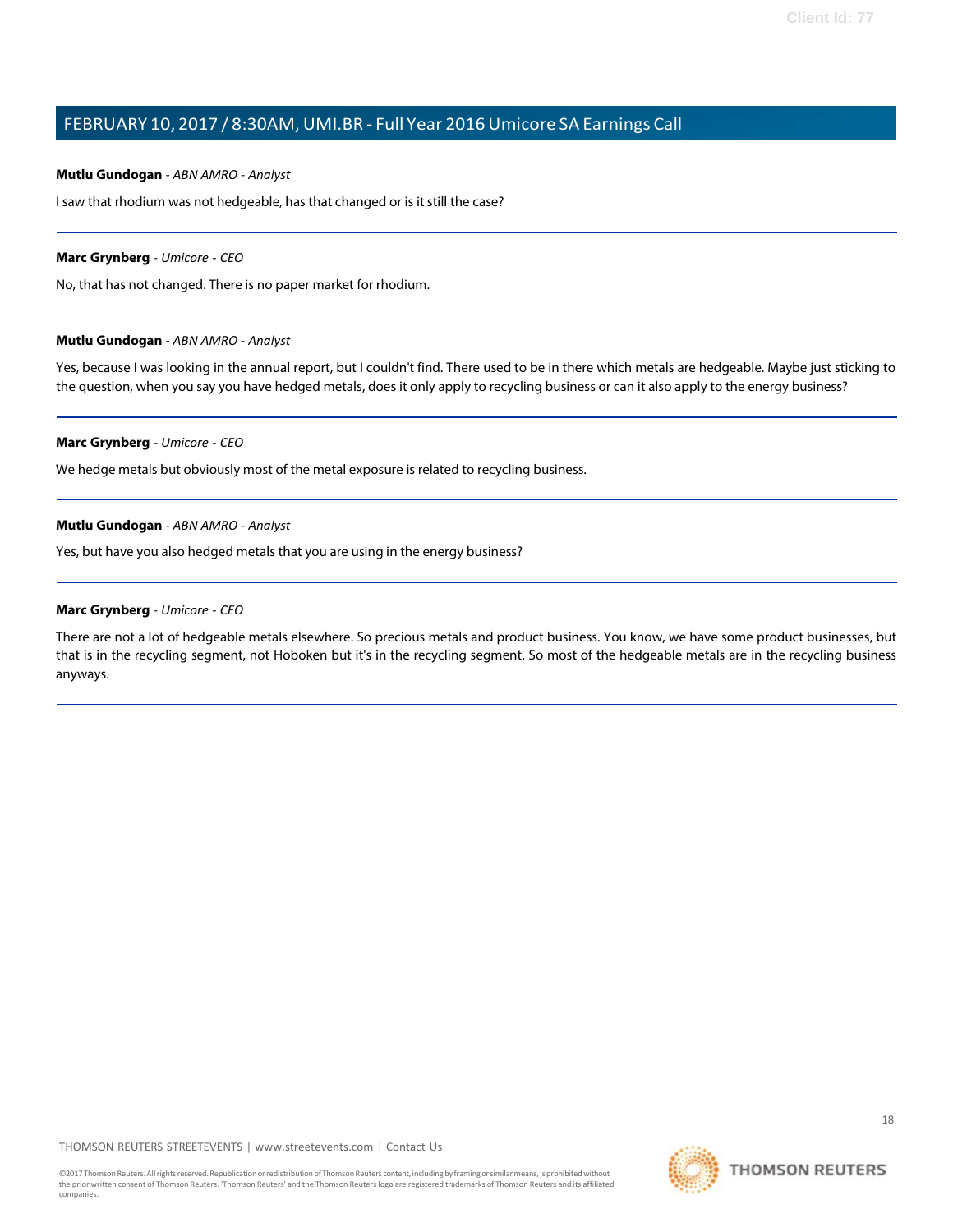#### **Mutlu Gundogan** *- ABN AMRO - Analyst*

I saw that rhodium was not hedgeable, has that changed or is it still the case?

#### **Marc Grynberg** *- Umicore - CEO*

No, that has not changed. There is no paper market for rhodium.

#### **Mutlu Gundogan** *- ABN AMRO - Analyst*

Yes, because I was looking in the annual report, but I couldn't find. There used to be in there which metals are hedgeable. Maybe just sticking to the question, when you say you have hedged metals, does it only apply to recycling business or can it also apply to the energy business?

#### **Marc Grynberg** *- Umicore - CEO*

We hedge metals but obviously most of the metal exposure is related to recycling business.

#### **Mutlu Gundogan** *- ABN AMRO - Analyst*

Yes, but have you also hedged metals that you are using in the energy business?

## **Marc Grynberg** *- Umicore - CEO*

There are not a lot of hedgeable metals elsewhere. So precious metals and product business. You know, we have some product businesses, but that is in the recycling segment, not Hoboken but it's in the recycling segment. So most of the hedgeable metals are in the recycling business anyways.

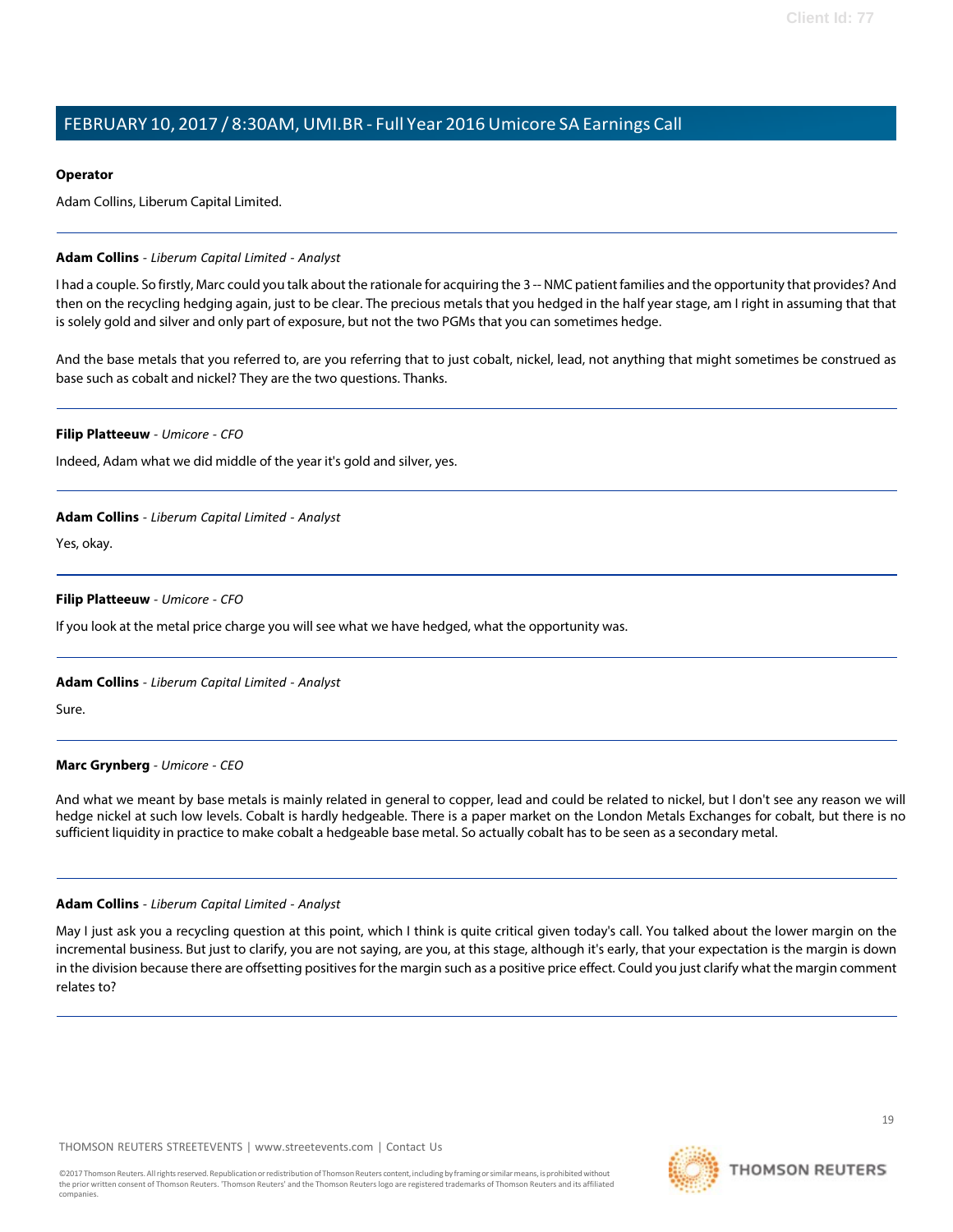# **Operator**

Adam Collins, Liberum Capital Limited.

# **Adam Collins** *- Liberum Capital Limited - Analyst*

I had a couple. So firstly, Marc could you talk about the rationale for acquiring the 3 -- NMC patientfamilies and the opportunity that provides? And then on the recycling hedging again, just to be clear. The precious metals that you hedged in the half year stage, am I right in assuming that that is solely gold and silver and only part of exposure, but not the two PGMs that you can sometimes hedge.

And the base metals that you referred to, are you referring that to just cobalt, nickel, lead, not anything that might sometimes be construed as base such as cobalt and nickel? They are the two questions. Thanks.

#### **Filip Platteeuw** *- Umicore - CFO*

Indeed, Adam what we did middle of the year it's gold and silver, yes.

#### **Adam Collins** *- Liberum Capital Limited - Analyst*

Yes, okay.

# **Filip Platteeuw** *- Umicore - CFO*

If you look at the metal price charge you will see what we have hedged, what the opportunity was.

# **Adam Collins** *- Liberum Capital Limited - Analyst*

Sure.

# **Marc Grynberg** *- Umicore - CEO*

And what we meant by base metals is mainly related in general to copper, lead and could be related to nickel, but I don't see any reason we will hedge nickel at such low levels. Cobalt is hardly hedgeable. There is a paper market on the London Metals Exchanges for cobalt, but there is no sufficient liquidity in practice to make cobalt a hedgeable base metal. So actually cobalt has to be seen as a secondary metal.

#### **Adam Collins** *- Liberum Capital Limited - Analyst*

May I just ask you a recycling question at this point, which I think is quite critical given today's call. You talked about the lower margin on the incremental business. But just to clarify, you are not saying, are you, at this stage, although it's early, that your expectation is the margin is down in the division because there are offsetting positives for the margin such as a positive price effect. Could you just clarify what the margin comment relates to?

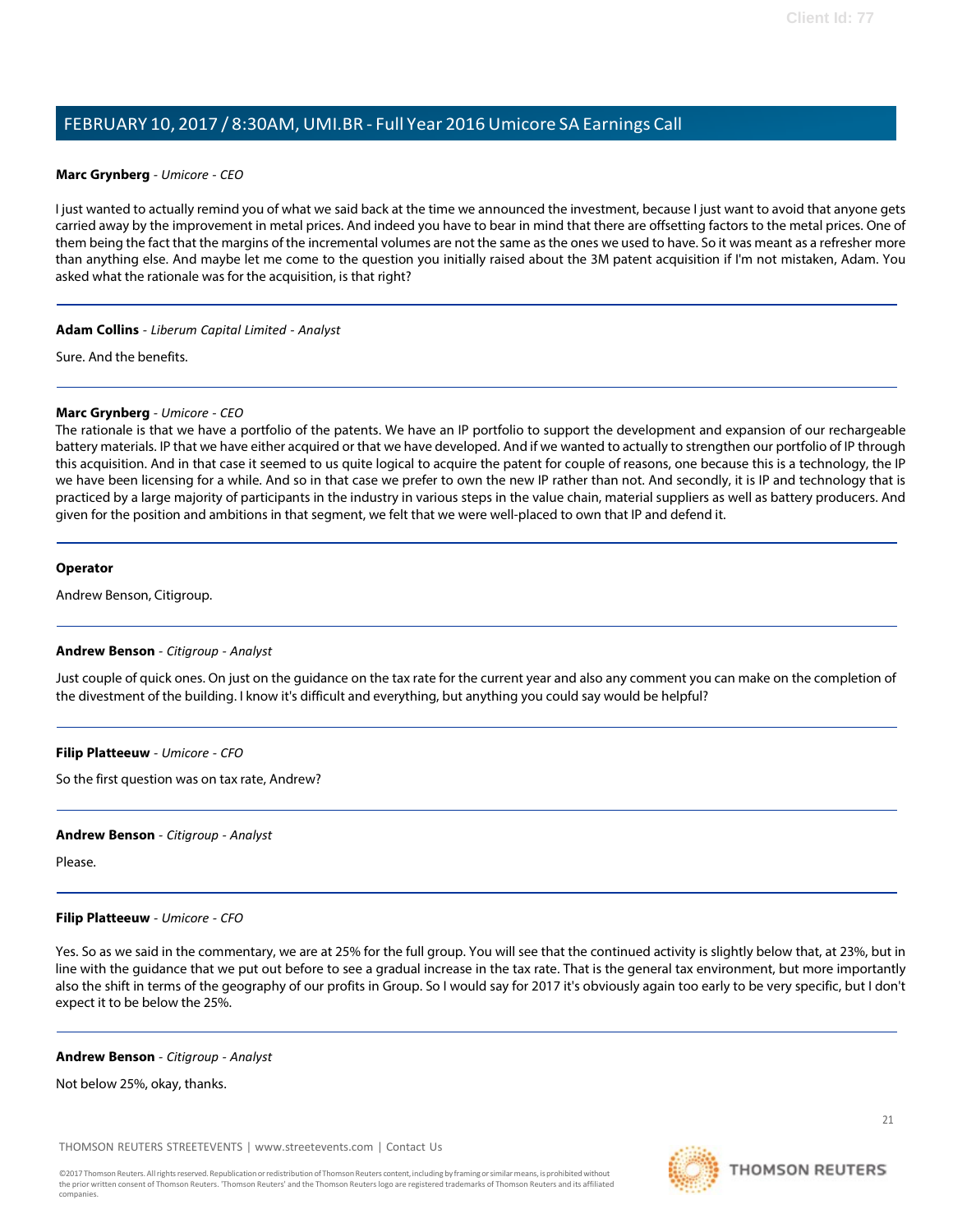# **Marc Grynberg** *- Umicore - CEO*

I just wanted to actually remind you of what we said back at the time we announced the investment, because I just want to avoid that anyone gets carried away by the improvement in metal prices. And indeed you have to bear in mind that there are offsetting factors to the metal prices. One of them being the fact that the margins of the incremental volumes are not the same as the ones we used to have. So it was meant as a refresher more than anything else. And maybe let me come to the question you initially raised about the 3M patent acquisition if I'm not mistaken, Adam. You asked what the rationale was for the acquisition, is that right?

# **Adam Collins** *- Liberum Capital Limited - Analyst*

Sure. And the benefits.

# **Marc Grynberg** *- Umicore - CEO*

The rationale is that we have a portfolio of the patents. We have an IP portfolio to support the development and expansion of our rechargeable battery materials. IP that we have either acquired or that we have developed. And if we wanted to actually to strengthen our portfolio of IP through this acquisition. And in that case it seemed to us quite logical to acquire the patent for couple of reasons, one because this is a technology, the IP we have been licensing for a while. And so in that case we prefer to own the new IP rather than not. And secondly, it is IP and technology that is practiced by a large majority of participants in the industry in various steps in the value chain, material suppliers as well as battery producers. And given for the position and ambitions in that segment, we felt that we were well-placed to own that IP and defend it.

# **Operator**

Andrew Benson, Citigroup.

# **Andrew Benson** *- Citigroup - Analyst*

Just couple of quick ones. On just on the guidance on the tax rate for the current year and also any comment you can make on the completion of the divestment of the building. I know it's difficult and everything, but anything you could say would be helpful?

# **Filip Platteeuw** *- Umicore - CFO*

So the first question was on tax rate, Andrew?

# **Andrew Benson** *- Citigroup - Analyst*

Please.

# **Filip Platteeuw** *- Umicore - CFO*

Yes. So as we said in the commentary, we are at 25% for the full group. You will see that the continued activity is slightly below that, at 23%, but in line with the guidance that we put out before to see a gradual increase in the tax rate. That is the general tax environment, but more importantly also the shift in terms of the geography of our profits in Group. So I would say for 2017 it's obviously again too early to be very specific, but I don't expect it to be below the 25%.

# **Andrew Benson** *- Citigroup - Analyst*

Not below 25%, okay, thanks.

THOMSON REUTERS STREETEVENTS | [www.streetevents.com](http://www.streetevents.com/) | [Contact](http://www010.streetevents.com/contact.asp) Us